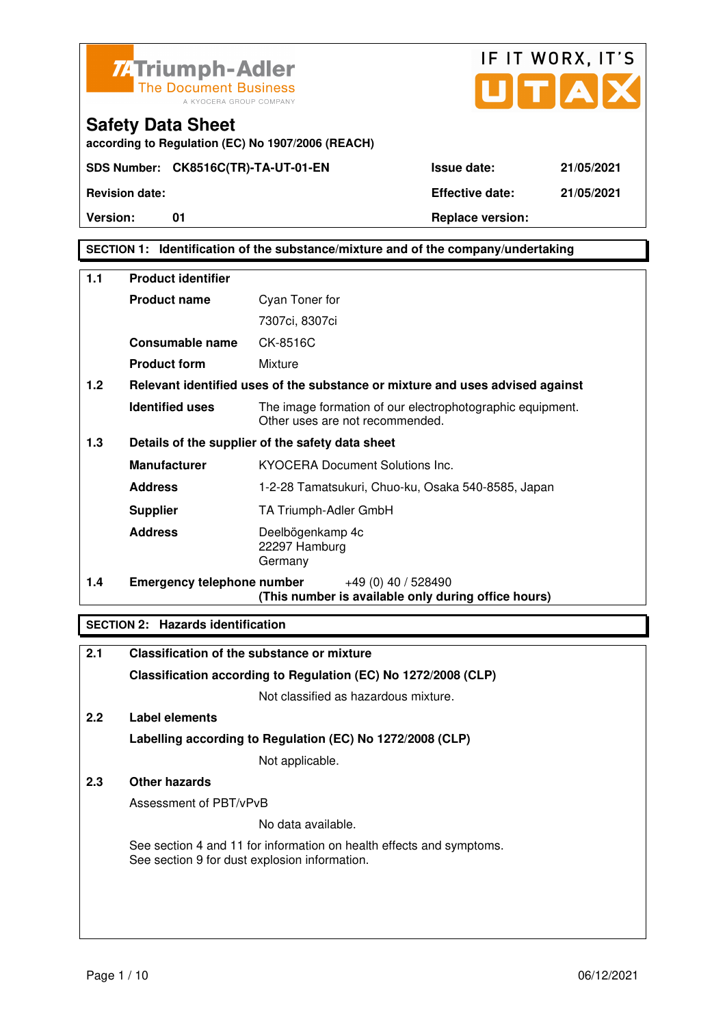



### **SECTION 1: Identification of the substance/mixture and of the company/undertaking**

| 1.1 | <b>Product identifier</b>         |                                                                                              |  |
|-----|-----------------------------------|----------------------------------------------------------------------------------------------|--|
|     | <b>Product name</b>               | Cyan Toner for                                                                               |  |
|     |                                   | 7307ci, 8307ci                                                                               |  |
|     | Consumable name                   | CK-8516C                                                                                     |  |
|     | <b>Product form</b>               | Mixture                                                                                      |  |
| 1.2 |                                   | Relevant identified uses of the substance or mixture and uses advised against                |  |
|     | <b>Identified uses</b>            | The image formation of our electrophotographic equipment.<br>Other uses are not recommended. |  |
| 1.3 |                                   | Details of the supplier of the safety data sheet                                             |  |
|     | <b>Manufacturer</b>               | <b>KYOCERA Document Solutions Inc.</b>                                                       |  |
|     | <b>Address</b>                    | 1-2-28 Tamatsukuri, Chuo-ku, Osaka 540-8585, Japan                                           |  |
|     | <b>Supplier</b>                   | TA Triumph-Adler GmbH                                                                        |  |
|     | <b>Address</b>                    | Deelbögenkamp 4c<br>22297 Hamburg<br>Germany                                                 |  |
| 1.4 | <b>Emergency telephone number</b> | $+49(0)$ 40 / 528490<br>(This number is available only during office hours)                  |  |

#### **SECTION 2: Hazards identification**

| 2.1 | Classification of the substance or mixture                                                                            |
|-----|-----------------------------------------------------------------------------------------------------------------------|
|     | Classification according to Regulation (EC) No 1272/2008 (CLP)                                                        |
|     | Not classified as hazardous mixture.                                                                                  |
| 2.2 | Label elements                                                                                                        |
|     | Labelling according to Regulation (EC) No 1272/2008 (CLP)                                                             |
|     | Not applicable.                                                                                                       |
| 2.3 | Other hazards                                                                                                         |
|     | Assessment of PBT/vPvB                                                                                                |
|     | No data available.                                                                                                    |
|     | See section 4 and 11 for information on health effects and symptoms.<br>See section 9 for dust explosion information. |
|     |                                                                                                                       |
|     |                                                                                                                       |
|     |                                                                                                                       |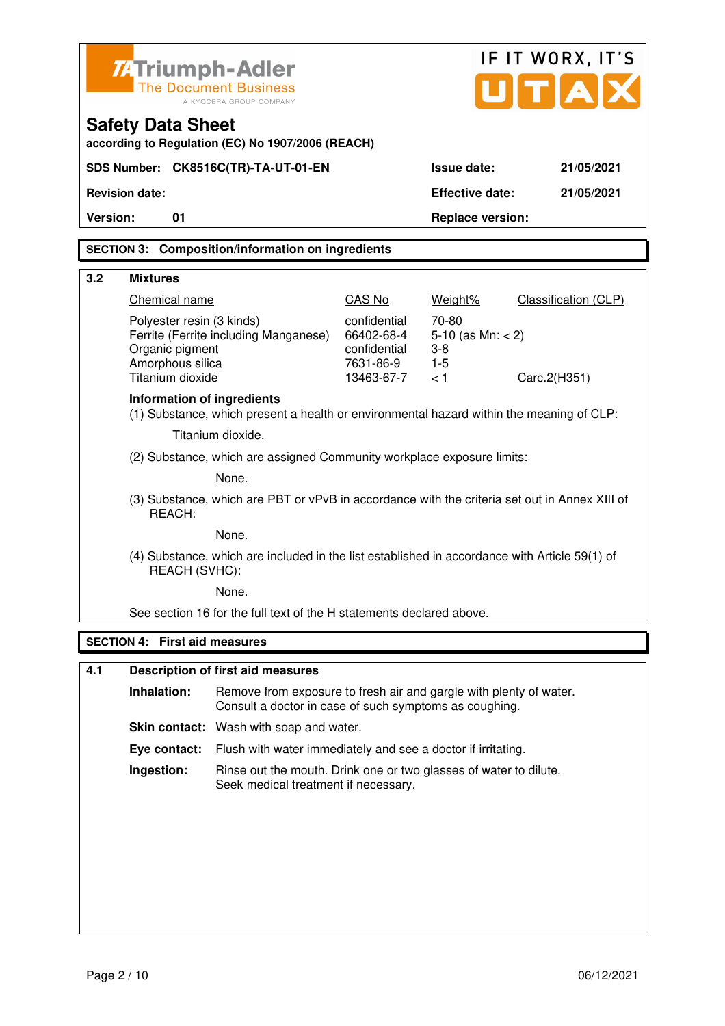| IF IT WORX, IT'S<br><b>ZATriumph-Adler</b><br>U[T A]<br><b>The Document Business</b><br>A KYOCERA GROUP COMPANY<br><b>Safety Data Sheet</b><br>according to Regulation (EC) No 1907/2006 (REACH)<br>SDS Number: CK8516C(TR)-TA-UT-01-EN<br><b>Issue date:</b><br>21/05/2021 |                                                                                                                              |                                                         |                                                 |                      |
|-----------------------------------------------------------------------------------------------------------------------------------------------------------------------------------------------------------------------------------------------------------------------------|------------------------------------------------------------------------------------------------------------------------------|---------------------------------------------------------|-------------------------------------------------|----------------------|
| <b>Revision date:</b>                                                                                                                                                                                                                                                       |                                                                                                                              |                                                         | <b>Effective date:</b>                          | 21/05/2021           |
| Version:<br>01                                                                                                                                                                                                                                                              |                                                                                                                              |                                                         | <b>Replace version:</b>                         |                      |
|                                                                                                                                                                                                                                                                             | <b>SECTION 3: Composition/information on ingredients</b>                                                                     |                                                         |                                                 |                      |
| 3.2<br><b>Mixtures</b>                                                                                                                                                                                                                                                      |                                                                                                                              |                                                         |                                                 |                      |
| Chemical name                                                                                                                                                                                                                                                               |                                                                                                                              | CAS No                                                  | Weight%                                         | Classification (CLP) |
| Polyester resin (3 kinds)<br>Organic pigment<br>Amorphous silica                                                                                                                                                                                                            | Ferrite (Ferrite including Manganese)                                                                                        | confidential<br>66402-68-4<br>confidential<br>7631-86-9 | 70-80<br>5-10 (as $Mn: < 2$ )<br>$3-8$<br>$1-5$ |                      |
| Titanium dioxide                                                                                                                                                                                                                                                            |                                                                                                                              | 13463-67-7                                              | < 1                                             | Carc.2(H351)         |
| Information of ingredients<br>(1) Substance, which present a health or environmental hazard within the meaning of CLP:                                                                                                                                                      |                                                                                                                              |                                                         |                                                 |                      |
|                                                                                                                                                                                                                                                                             | Titanium dioxide.                                                                                                            |                                                         |                                                 |                      |
| (2) Substance, which are assigned Community workplace exposure limits:                                                                                                                                                                                                      |                                                                                                                              |                                                         |                                                 |                      |
| None.                                                                                                                                                                                                                                                                       |                                                                                                                              |                                                         |                                                 |                      |
| (3) Substance, which are PBT or vPvB in accordance with the criteria set out in Annex XIII of<br>REACH:                                                                                                                                                                     |                                                                                                                              |                                                         |                                                 |                      |
|                                                                                                                                                                                                                                                                             | None.                                                                                                                        |                                                         |                                                 |                      |
| (4) Substance, which are included in the list established in accordance with Article 59(1) of<br>REACH (SVHC):                                                                                                                                                              |                                                                                                                              |                                                         |                                                 |                      |
|                                                                                                                                                                                                                                                                             | None.                                                                                                                        |                                                         |                                                 |                      |
|                                                                                                                                                                                                                                                                             | See section 16 for the full text of the H statements declared above.                                                         |                                                         |                                                 |                      |
| <b>SECTION 4: First aid measures</b>                                                                                                                                                                                                                                        |                                                                                                                              |                                                         |                                                 |                      |
| 4.1                                                                                                                                                                                                                                                                         | <b>Description of first aid measures</b>                                                                                     |                                                         |                                                 |                      |
| Inhalation:                                                                                                                                                                                                                                                                 | Remove from exposure to fresh air and gargle with plenty of water.<br>Consult a doctor in case of such symptoms as coughing. |                                                         |                                                 |                      |
|                                                                                                                                                                                                                                                                             | <b>Skin contact:</b> Wash with soap and water.                                                                               |                                                         |                                                 |                      |
| Eye contact:                                                                                                                                                                                                                                                                | Flush with water immediately and see a doctor if irritating.                                                                 |                                                         |                                                 |                      |
| Ingestion:                                                                                                                                                                                                                                                                  | Rinse out the mouth. Drink one or two glasses of water to dilute.<br>Seek medical treatment if necessary.                    |                                                         |                                                 |                      |
|                                                                                                                                                                                                                                                                             |                                                                                                                              |                                                         |                                                 |                      |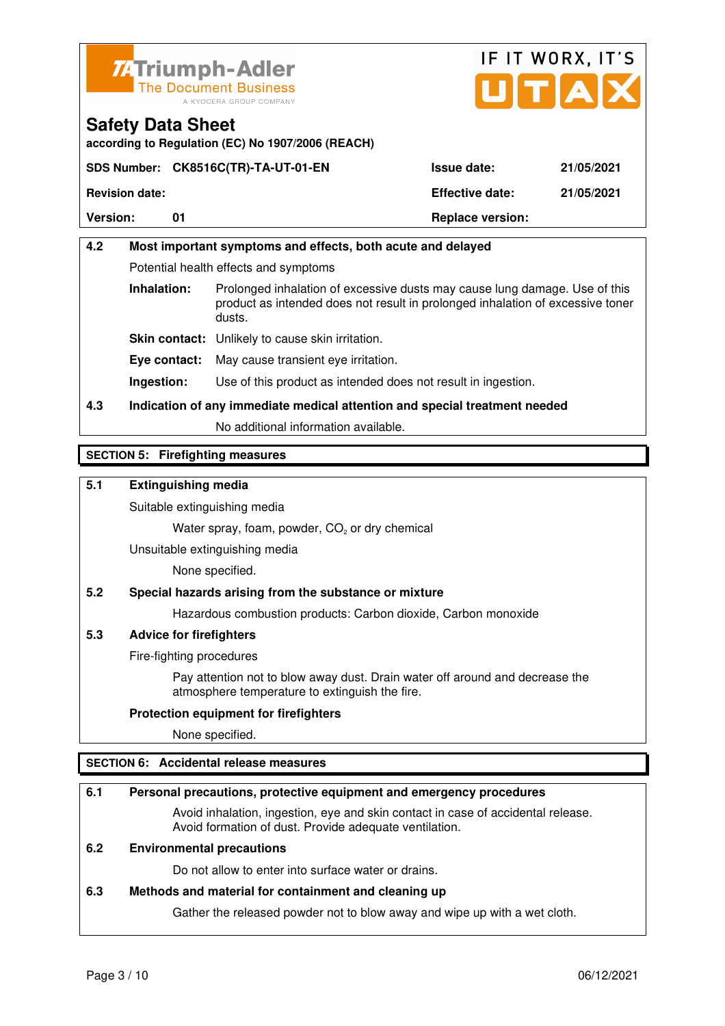



**according to Regulation (EC) No 1907/2006 (REACH)**

|                       | SDS Number: CK8516C(TR)-TA-UT-01-EN | <b>Issue date:</b>      | 21/05/2021 |
|-----------------------|-------------------------------------|-------------------------|------------|
| <b>Revision date:</b> |                                     | <b>Effective date:</b>  | 21/05/2021 |
| <b>Version:</b>       |                                     | <b>Replace version:</b> |            |

# **4.2 Most important symptoms and effects, both acute and delayed**  Potential health effects and symptoms **Inhalation:** Prolonged inhalation of excessive dusts may cause lung damage. Use of this product as intended does not result in prolonged inhalation of excessive toner dusts. **Skin contact:** Unlikely to cause skin irritation. **Eye contact:** May cause transient eye irritation. **Ingestion:** Use of this product as intended does not result in ingestion.

**4.3 Indication of any immediate medical attention and special treatment needed** 

No additional information available.

## **SECTION 5: Firefighting measures**

#### **5.1 Extinguishing media**

Suitable extinguishing media

Water spray, foam, powder,  $CO<sub>2</sub>$  or dry chemical

Unsuitable extinguishing media

None specified.

## **5.2 Special hazards arising from the substance or mixture**

Hazardous combustion products: Carbon dioxide, Carbon monoxide

#### **5.3 Advice for firefighters**

Fire-fighting procedures

 Pay attention not to blow away dust. Drain water off around and decrease the atmosphere temperature to extinguish the fire.

#### **Protection equipment for firefighters**

None specified.

## **SECTION 6: Accidental release measures**

#### **6.1 Personal precautions, protective equipment and emergency procedures**

 Avoid inhalation, ingestion, eye and skin contact in case of accidental release. Avoid formation of dust. Provide adequate ventilation.

### **6.2 Environmental precautions**

Do not allow to enter into surface water or drains.

#### **6.3 Methods and material for containment and cleaning up**

Gather the released powder not to blow away and wipe up with a wet cloth.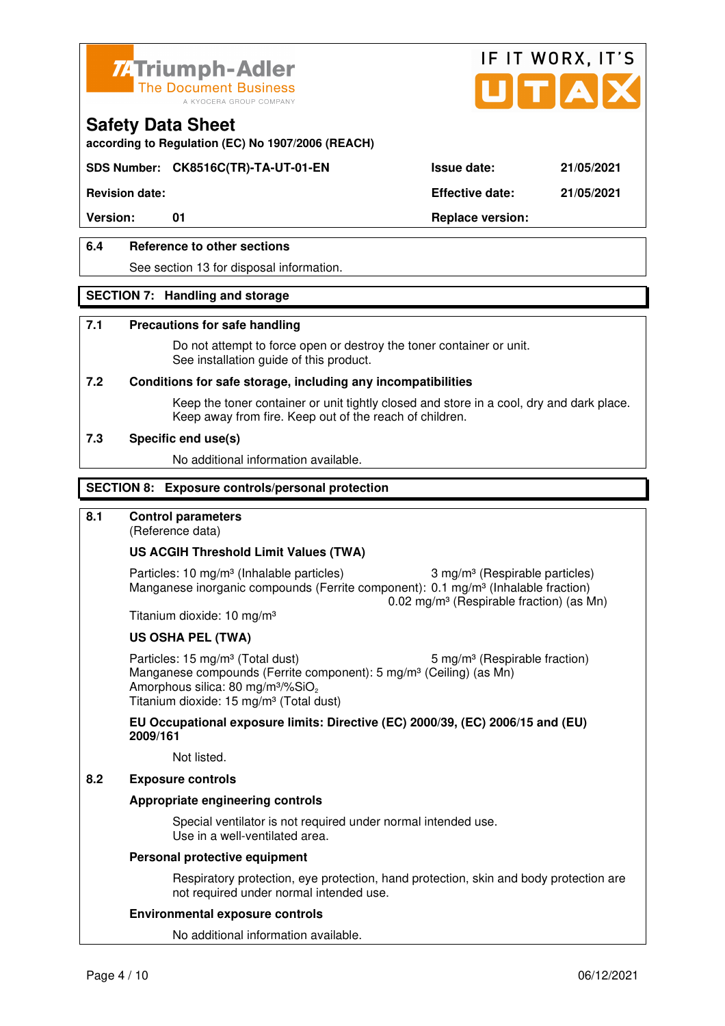



**according to Regulation (EC) No 1907/2006 (REACH)**

## **SDS Number: CK8516C(TR)-TA-UT-01-EN Issue date: 21/05/2021**

**Revision date: Effective date: 21/05/2021** 

Version: 01 01 **Replace version:** 

### **6.4 Reference to other sections**

See section 13 for disposal information.

#### **SECTION 7: Handling and storage**

#### **7.1 Precautions for safe handling**

 Do not attempt to force open or destroy the toner container or unit. See installation guide of this product.

#### **7.2 Conditions for safe storage, including any incompatibilities**

Keep the toner container or unit tightly closed and store in a cool, dry and dark place. Keep away from fire. Keep out of the reach of children.

#### **7.3 Specific end use(s)**

No additional information available.

#### **SECTION 8: Exposure controls/personal protection**

### **8.1 Control parameters**

(Reference data)

#### **US ACGIH Threshold Limit Values (TWA)**

Particles: 10 mg/m<sup>3</sup> (Inhalable particles) 3 mg/m<sup>3</sup> (Respirable particles) Manganese inorganic compounds (Ferrite component): 0.1 mg/m<sup>3</sup> (Inhalable fraction) 0.02 mg/m³ (Respirable fraction) (as Mn)

Titanium dioxide: 10 mg/m³

#### **US OSHA PEL (TWA)**

Particles: 15 mg/m<sup>3</sup> (Total dust) 5 mg/m<sup>3</sup> (Respirable fraction) Manganese compounds (Ferrite component): 5 mg/m<sup>3</sup> (Ceiling) (as Mn) Amorphous silica: 80 mg/m $3\%$ SiO<sub>2</sub> Titanium dioxide: 15 mg/m<sup>3</sup> (Total dust)

**EU Occupational exposure limits: Directive (EC) 2000/39, (EC) 2006/15 and (EU) 2009/161**

Not listed.

#### **8.2 Exposure controls**

#### **Appropriate engineering controls**

 Special ventilator is not required under normal intended use. Use in a well-ventilated area.

#### **Personal protective equipment**

 Respiratory protection, eye protection, hand protection, skin and body protection are not required under normal intended use.

#### **Environmental exposure controls**

No additional information available.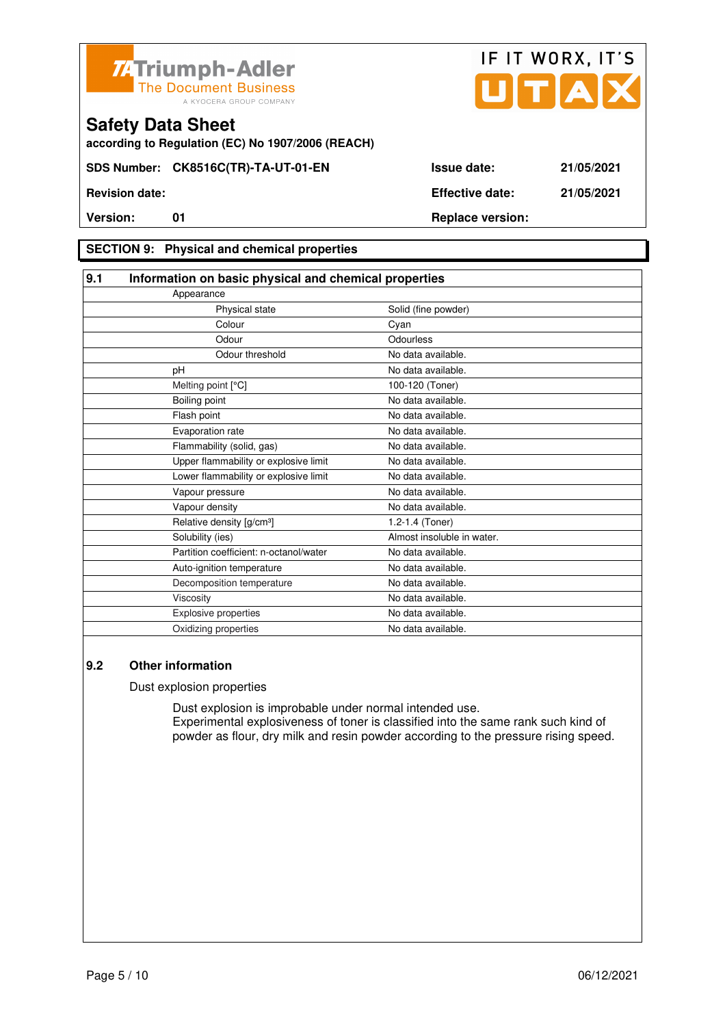



**according to Regulation (EC) No 1907/2006 (REACH)**

### **SECTION 9: Physical and chemical properties**

| 9.1                                   | Information on basic physical and chemical properties |                            |  |
|---------------------------------------|-------------------------------------------------------|----------------------------|--|
| Appearance                            |                                                       |                            |  |
|                                       | Physical state                                        | Solid (fine powder)        |  |
|                                       | Colour                                                | Cyan                       |  |
|                                       | Odour                                                 | Odourless                  |  |
|                                       | Odour threshold                                       | No data available.         |  |
| pH                                    |                                                       | No data available.         |  |
| Melting point [°C]                    |                                                       | 100-120 (Toner)            |  |
| Boiling point                         |                                                       | No data available.         |  |
| Flash point                           |                                                       | No data available.         |  |
| Evaporation rate                      |                                                       | No data available.         |  |
| Flammability (solid, gas)             |                                                       | No data available.         |  |
|                                       | Upper flammability or explosive limit                 | No data available.         |  |
|                                       | Lower flammability or explosive limit                 | No data available.         |  |
| Vapour pressure                       |                                                       | No data available.         |  |
| Vapour density                        |                                                       | No data available.         |  |
| Relative density [g/cm <sup>3</sup> ] |                                                       | 1.2-1.4 (Toner)            |  |
| Solubility (ies)                      |                                                       | Almost insoluble in water. |  |
|                                       | Partition coefficient: n-octanol/water                | No data available.         |  |
| Auto-ignition temperature             |                                                       | No data available.         |  |
|                                       | Decomposition temperature                             | No data available.         |  |
| Viscosity                             |                                                       | No data available.         |  |
| <b>Explosive properties</b>           |                                                       | No data available.         |  |
| Oxidizing properties                  |                                                       | No data available.         |  |

#### **9.2 Other information**

Dust explosion properties

 Dust explosion is improbable under normal intended use. Experimental explosiveness of toner is classified into the same rank such kind of powder as flour, dry milk and resin powder according to the pressure rising speed.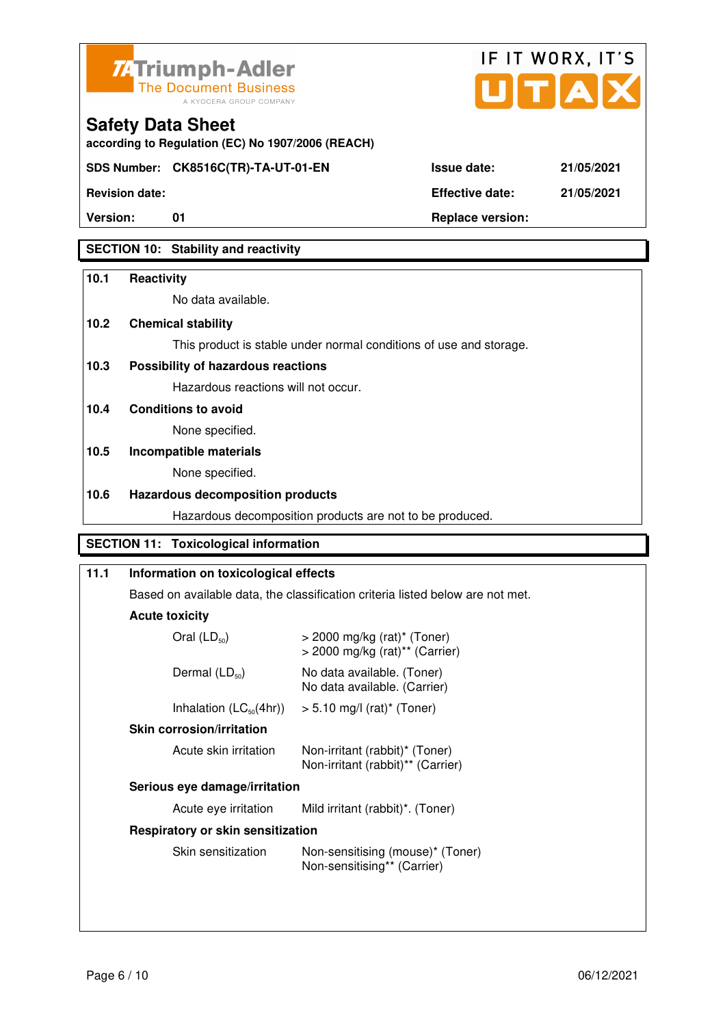



**Version:** 01 **Replace version:** 

**SECTION 10: Stability and reactivity** 

#### **10.1 Reactivity**

No data available.

**according to Regulation (EC) No 1907/2006 (REACH)**

#### **10.2 Chemical stability**

**Safety Data Sheet** 

This product is stable under normal conditions of use and storage.

### **10.3 Possibility of hazardous reactions**

Hazardous reactions will not occur.

**10.4 Conditions to avoid** 

None specified.

## **10.5 Incompatible materials**

None specified.

#### **10.6 Hazardous decomposition products**

Hazardous decomposition products are not to be produced.

### **SECTION 11: Toxicological information**

| 11.1 | Information on toxicological effects<br>Based on available data, the classification criteria listed below are not met. |                                                                                           |  |
|------|------------------------------------------------------------------------------------------------------------------------|-------------------------------------------------------------------------------------------|--|
|      |                                                                                                                        |                                                                                           |  |
|      | <b>Acute toxicity</b>                                                                                                  |                                                                                           |  |
|      | Oral $(LD_{50})$                                                                                                       | $>$ 2000 mg/kg (rat) <sup>*</sup> (Toner)<br>$>$ 2000 mg/kg (rat) <sup>**</sup> (Carrier) |  |
|      | Dermal $(LD_{50})$                                                                                                     | No data available. (Toner)<br>No data available. (Carrier)                                |  |
|      |                                                                                                                        | Inhalation $(LC_{50}(4hr))$ > 5.10 mg/l (rat) <sup>*</sup> (Toner)                        |  |
|      | <b>Skin corrosion/irritation</b>                                                                                       |                                                                                           |  |
|      | Acute skin irritation                                                                                                  | Non-irritant (rabbit)* (Toner)<br>Non-irritant (rabbit)** (Carrier)                       |  |
|      | Serious eye damage/irritation                                                                                          |                                                                                           |  |
|      | Acute eye irritation                                                                                                   | Mild irritant (rabbit)*. (Toner)                                                          |  |
|      | Respiratory or skin sensitization                                                                                      |                                                                                           |  |
|      | Skin sensitization                                                                                                     | Non-sensitising (mouse)* (Toner)<br>Non-sensitising** (Carrier)                           |  |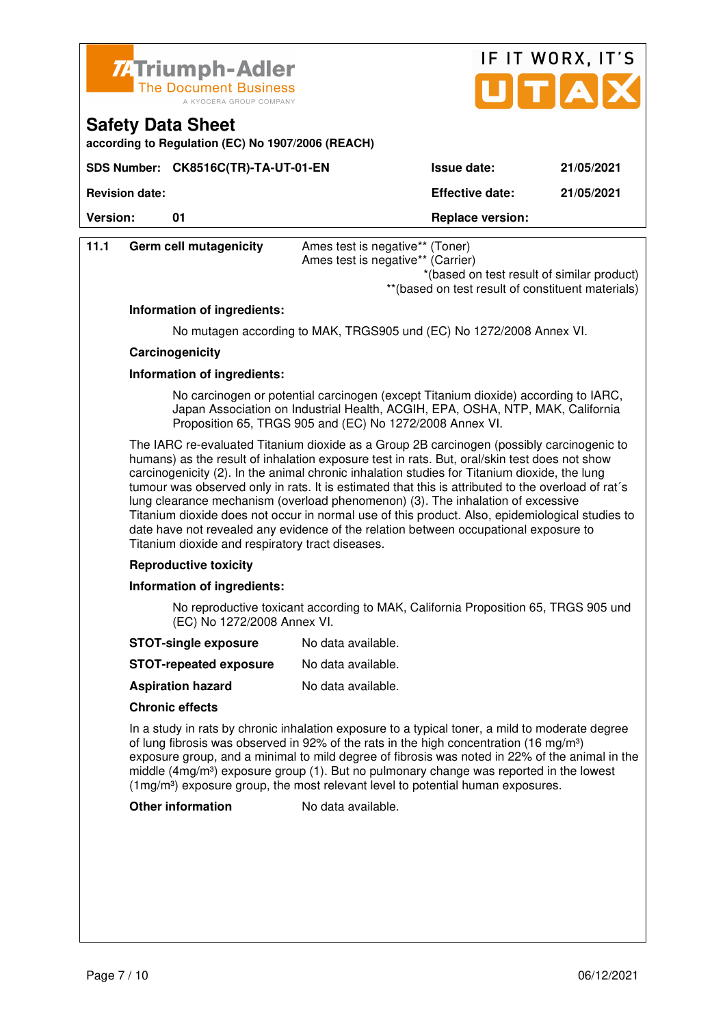

SDS Number: CK8516C(TR)-TA-UT-01-EN

**according to Regulation (EC) No 1907/2006 (REACH)**

**Safety Data Sheet** 

**Revision date: Effective date: 21/05/2021** 

| <b>Version:</b> | 01                                                                                                                                                                                                                                                                                                                                                                                                                                                                                                                                                                                                                                                                                                                                | <b>Replace version:</b>                                                                                                                                                                                                                                                                                                                                                                                                                                                                           |  |
|-----------------|-----------------------------------------------------------------------------------------------------------------------------------------------------------------------------------------------------------------------------------------------------------------------------------------------------------------------------------------------------------------------------------------------------------------------------------------------------------------------------------------------------------------------------------------------------------------------------------------------------------------------------------------------------------------------------------------------------------------------------------|---------------------------------------------------------------------------------------------------------------------------------------------------------------------------------------------------------------------------------------------------------------------------------------------------------------------------------------------------------------------------------------------------------------------------------------------------------------------------------------------------|--|
| 11.1            | <b>Germ cell mutagenicity</b>                                                                                                                                                                                                                                                                                                                                                                                                                                                                                                                                                                                                                                                                                                     | Ames test is negative** (Toner)<br>Ames test is negative** (Carrier)<br>*(based on test result of similar product)<br>** (based on test result of constituent materials)                                                                                                                                                                                                                                                                                                                          |  |
|                 | Information of ingredients:                                                                                                                                                                                                                                                                                                                                                                                                                                                                                                                                                                                                                                                                                                       |                                                                                                                                                                                                                                                                                                                                                                                                                                                                                                   |  |
|                 |                                                                                                                                                                                                                                                                                                                                                                                                                                                                                                                                                                                                                                                                                                                                   | No mutagen according to MAK, TRGS905 und (EC) No 1272/2008 Annex VI.                                                                                                                                                                                                                                                                                                                                                                                                                              |  |
|                 | Carcinogenicity                                                                                                                                                                                                                                                                                                                                                                                                                                                                                                                                                                                                                                                                                                                   |                                                                                                                                                                                                                                                                                                                                                                                                                                                                                                   |  |
|                 | Information of ingredients:                                                                                                                                                                                                                                                                                                                                                                                                                                                                                                                                                                                                                                                                                                       |                                                                                                                                                                                                                                                                                                                                                                                                                                                                                                   |  |
|                 |                                                                                                                                                                                                                                                                                                                                                                                                                                                                                                                                                                                                                                                                                                                                   | No carcinogen or potential carcinogen (except Titanium dioxide) according to IARC,<br>Japan Association on Industrial Health, ACGIH, EPA, OSHA, NTP, MAK, California<br>Proposition 65, TRGS 905 and (EC) No 1272/2008 Annex VI.                                                                                                                                                                                                                                                                  |  |
|                 | The IARC re-evaluated Titanium dioxide as a Group 2B carcinogen (possibly carcinogenic to<br>humans) as the result of inhalation exposure test in rats. But, oral/skin test does not show<br>carcinogenicity (2). In the animal chronic inhalation studies for Titanium dioxide, the lung<br>tumour was observed only in rats. It is estimated that this is attributed to the overload of rat's<br>lung clearance mechanism (overload phenomenon) (3). The inhalation of excessive<br>Titanium dioxide does not occur in normal use of this product. Also, epidemiological studies to<br>date have not revealed any evidence of the relation between occupational exposure to<br>Titanium dioxide and respiratory tract diseases. |                                                                                                                                                                                                                                                                                                                                                                                                                                                                                                   |  |
|                 | <b>Reproductive toxicity</b>                                                                                                                                                                                                                                                                                                                                                                                                                                                                                                                                                                                                                                                                                                      |                                                                                                                                                                                                                                                                                                                                                                                                                                                                                                   |  |
|                 | Information of ingredients:                                                                                                                                                                                                                                                                                                                                                                                                                                                                                                                                                                                                                                                                                                       |                                                                                                                                                                                                                                                                                                                                                                                                                                                                                                   |  |
|                 | (EC) No 1272/2008 Annex VI.                                                                                                                                                                                                                                                                                                                                                                                                                                                                                                                                                                                                                                                                                                       | No reproductive toxicant according to MAK, California Proposition 65, TRGS 905 und                                                                                                                                                                                                                                                                                                                                                                                                                |  |
|                 | <b>STOT-single exposure</b>                                                                                                                                                                                                                                                                                                                                                                                                                                                                                                                                                                                                                                                                                                       | No data available.                                                                                                                                                                                                                                                                                                                                                                                                                                                                                |  |
|                 | <b>STOT-repeated exposure</b>                                                                                                                                                                                                                                                                                                                                                                                                                                                                                                                                                                                                                                                                                                     | No data available.                                                                                                                                                                                                                                                                                                                                                                                                                                                                                |  |
|                 | <b>Aspiration hazard</b>                                                                                                                                                                                                                                                                                                                                                                                                                                                                                                                                                                                                                                                                                                          | No data available.                                                                                                                                                                                                                                                                                                                                                                                                                                                                                |  |
|                 | <b>Chronic effects</b>                                                                                                                                                                                                                                                                                                                                                                                                                                                                                                                                                                                                                                                                                                            |                                                                                                                                                                                                                                                                                                                                                                                                                                                                                                   |  |
|                 |                                                                                                                                                                                                                                                                                                                                                                                                                                                                                                                                                                                                                                                                                                                                   | In a study in rats by chronic inhalation exposure to a typical toner, a mild to moderate degree<br>of lung fibrosis was observed in 92% of the rats in the high concentration (16 mg/m <sup>3</sup> )<br>exposure group, and a minimal to mild degree of fibrosis was noted in 22% of the animal in the<br>middle $(4mg/m3)$ exposure group (1). But no pulmonary change was reported in the lowest<br>$(1\,\text{mg/m}^3)$ exposure group, the most relevant level to potential human exposures. |  |

**Other information** No data available.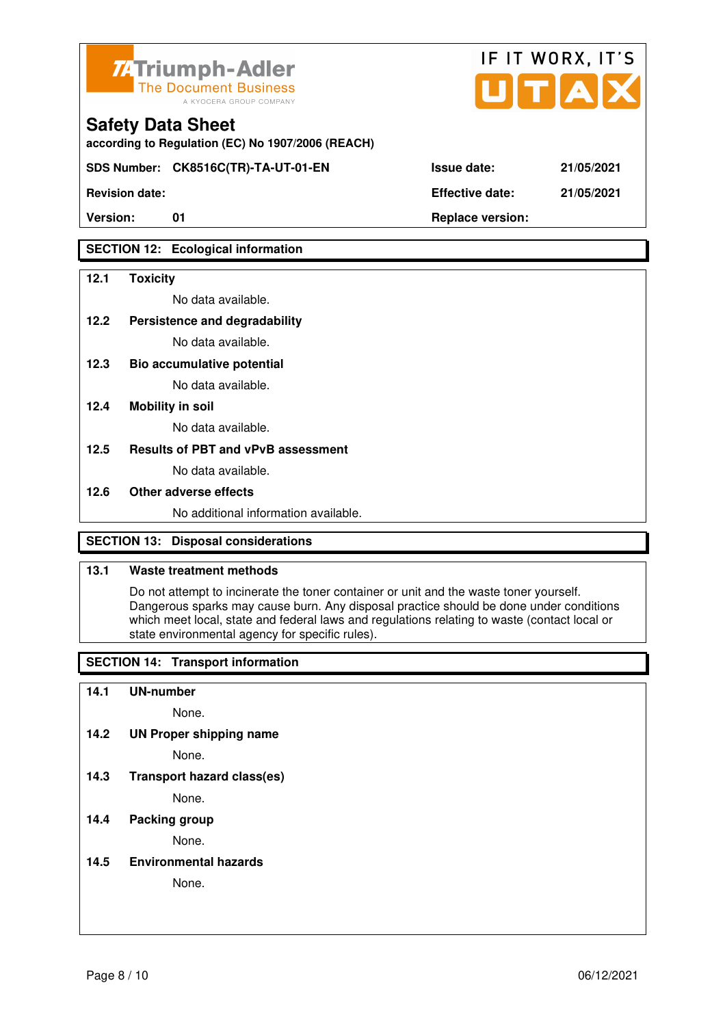

**according to Regulation (EC) No 1907/2006 (REACH)**

**SDS Number: CK8516C(TR)-TA-UT-01-EN Issue date: 21/05/2021** 

**Revision date: Effective date: 21/05/2021** 

## **SECTION 12: Ecological information**

#### **12.1 Toxicity**

No data available.

**12.2 Persistence and degradability** 

No data available.

**12.3 Bio accumulative potential** 

No data available.

#### **12.4 Mobility in soil**

No data available.

#### **12.5 Results of PBT and vPvB assessment**

No data available.

#### **12.6 Other adverse effects**

No additional information available.

## **SECTION 13: Disposal considerations**

#### **13.1 Waste treatment methods**

 Do not attempt to incinerate the toner container or unit and the waste toner yourself. Dangerous sparks may cause burn. Any disposal practice should be done under conditions which meet local, state and federal laws and regulations relating to waste (contact local or state environmental agency for specific rules).

## **SECTION 14: Transport information**

#### **14.1 UN-number**

None.

**14.2 UN Proper shipping name** 

None.

**14.3 Transport hazard class(es)** 

None.

### **14.4 Packing group**

None.

**14.5 Environmental hazards** 

None.

| ue date: | 21/05/20 |
|----------|----------|
|          |          |

IF IT WORX, IT'S

Version: 01 01 **Replace version: Properties**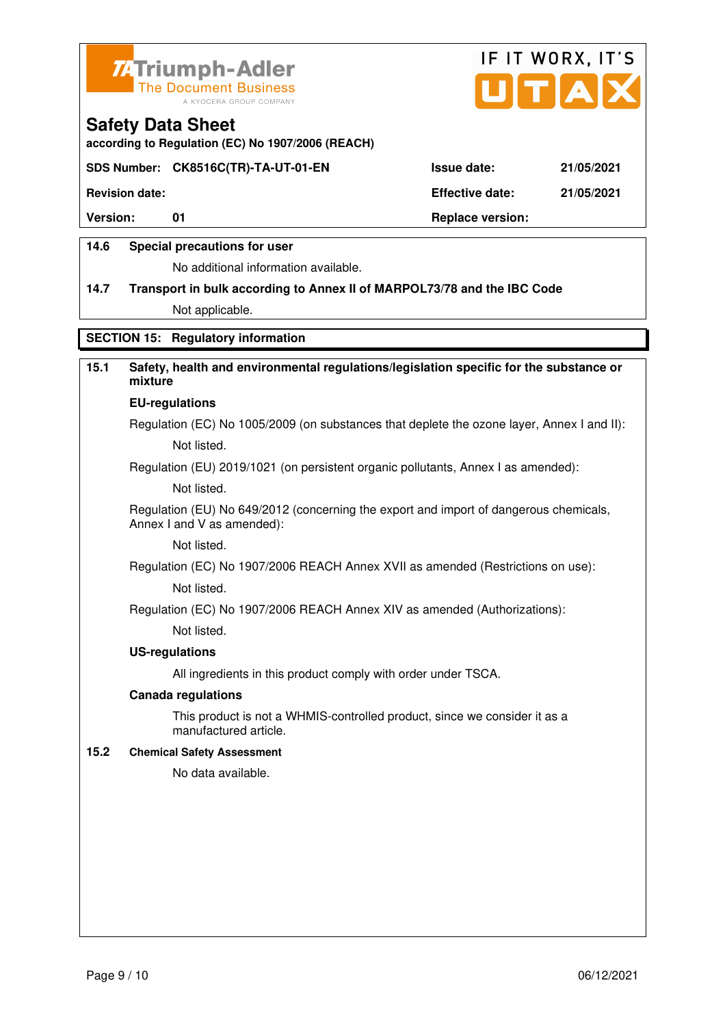



**according to Regulation (EC) No 1907/2006 (REACH)**

#### **SDS Number: CK8516C(TR)-TA-UT-01-EN Issue date: 21/05/2021**

**Revision date: Effective date: 21/05/2021** 

Version: 01 01 **Replace version: Replace version:** 

#### **14.6 Special precautions for user**

No additional information available.

# **14.7 Transport in bulk according to Annex II of MARPOL73/78 and the IBC Code**

Not applicable.

## **SECTION 15: Regulatory information**

# **15.1 Safety, health and environmental regulations/legislation specific for the substance or mixture**

#### **EU-regulations**

Regulation (EC) No 1005/2009 (on substances that deplete the ozone layer, Annex I and II): Not listed.

Regulation (EU) 2019/1021 (on persistent organic pollutants, Annex I as amended):

Not listed.

 Regulation (EU) No 649/2012 (concerning the export and import of dangerous chemicals, Annex I and V as amended):

Not listed.

 Regulation (EC) No 1907/2006 REACH Annex XVII as amended (Restrictions on use): Not listed.

Regulation (EC) No 1907/2006 REACH Annex XIV as amended (Authorizations):

Not listed.

#### **US-regulations**

All ingredients in this product comply with order under TSCA.

#### **Canada regulations**

 This product is not a WHMIS-controlled product, since we consider it as a manufactured article.

#### **15.2 Chemical Safety Assessment**

No data available.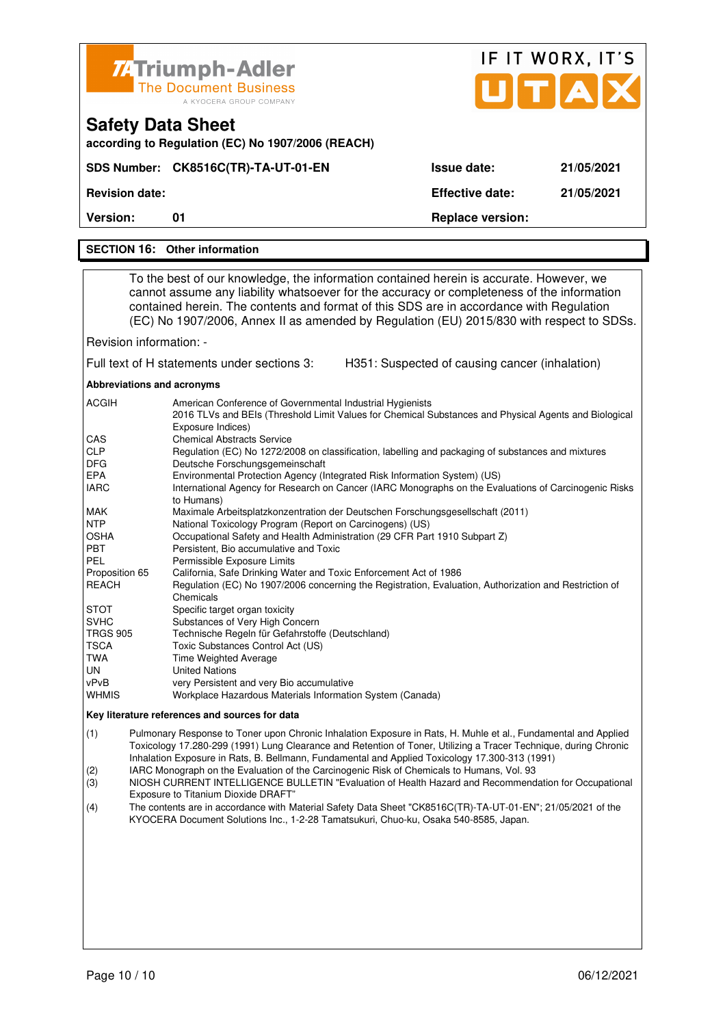|                                                                                                                                                                                                                                                                                                                                                                                                                                                                                                                                                                                                                                                                                                                                                                                                                                                                                                                                                                                                                                                                                                                                                                                                                                                                                                                                                                                                                                                                                                                                                                                                                                                                               | <b>74 Triumph-Adler</b>                                                                                                                                                                                                                                                                                                                                                      |                                                | IF IT WORX, IT'S |
|-------------------------------------------------------------------------------------------------------------------------------------------------------------------------------------------------------------------------------------------------------------------------------------------------------------------------------------------------------------------------------------------------------------------------------------------------------------------------------------------------------------------------------------------------------------------------------------------------------------------------------------------------------------------------------------------------------------------------------------------------------------------------------------------------------------------------------------------------------------------------------------------------------------------------------------------------------------------------------------------------------------------------------------------------------------------------------------------------------------------------------------------------------------------------------------------------------------------------------------------------------------------------------------------------------------------------------------------------------------------------------------------------------------------------------------------------------------------------------------------------------------------------------------------------------------------------------------------------------------------------------------------------------------------------------|------------------------------------------------------------------------------------------------------------------------------------------------------------------------------------------------------------------------------------------------------------------------------------------------------------------------------------------------------------------------------|------------------------------------------------|------------------|
|                                                                                                                                                                                                                                                                                                                                                                                                                                                                                                                                                                                                                                                                                                                                                                                                                                                                                                                                                                                                                                                                                                                                                                                                                                                                                                                                                                                                                                                                                                                                                                                                                                                                               | <b>The Document Business</b><br>A KYOCERA GROUP COMPANY                                                                                                                                                                                                                                                                                                                      |                                                | UTAD             |
|                                                                                                                                                                                                                                                                                                                                                                                                                                                                                                                                                                                                                                                                                                                                                                                                                                                                                                                                                                                                                                                                                                                                                                                                                                                                                                                                                                                                                                                                                                                                                                                                                                                                               | <b>Safety Data Sheet</b><br>according to Regulation (EC) No 1907/2006 (REACH)                                                                                                                                                                                                                                                                                                |                                                |                  |
|                                                                                                                                                                                                                                                                                                                                                                                                                                                                                                                                                                                                                                                                                                                                                                                                                                                                                                                                                                                                                                                                                                                                                                                                                                                                                                                                                                                                                                                                                                                                                                                                                                                                               | SDS Number: CK8516C(TR)-TA-UT-01-EN                                                                                                                                                                                                                                                                                                                                          | <b>Issue date:</b>                             | 21/05/2021       |
| <b>Revision date:</b>                                                                                                                                                                                                                                                                                                                                                                                                                                                                                                                                                                                                                                                                                                                                                                                                                                                                                                                                                                                                                                                                                                                                                                                                                                                                                                                                                                                                                                                                                                                                                                                                                                                         |                                                                                                                                                                                                                                                                                                                                                                              | <b>Effective date:</b>                         | 21/05/2021       |
| <b>Version:</b>                                                                                                                                                                                                                                                                                                                                                                                                                                                                                                                                                                                                                                                                                                                                                                                                                                                                                                                                                                                                                                                                                                                                                                                                                                                                                                                                                                                                                                                                                                                                                                                                                                                               | 01                                                                                                                                                                                                                                                                                                                                                                           | <b>Replace version:</b>                        |                  |
|                                                                                                                                                                                                                                                                                                                                                                                                                                                                                                                                                                                                                                                                                                                                                                                                                                                                                                                                                                                                                                                                                                                                                                                                                                                                                                                                                                                                                                                                                                                                                                                                                                                                               | <b>SECTION 16: Other information</b>                                                                                                                                                                                                                                                                                                                                         |                                                |                  |
|                                                                                                                                                                                                                                                                                                                                                                                                                                                                                                                                                                                                                                                                                                                                                                                                                                                                                                                                                                                                                                                                                                                                                                                                                                                                                                                                                                                                                                                                                                                                                                                                                                                                               |                                                                                                                                                                                                                                                                                                                                                                              |                                                |                  |
|                                                                                                                                                                                                                                                                                                                                                                                                                                                                                                                                                                                                                                                                                                                                                                                                                                                                                                                                                                                                                                                                                                                                                                                                                                                                                                                                                                                                                                                                                                                                                                                                                                                                               | To the best of our knowledge, the information contained herein is accurate. However, we<br>cannot assume any liability whatsoever for the accuracy or completeness of the information<br>contained herein. The contents and format of this SDS are in accordance with Regulation<br>(EC) No 1907/2006, Annex II as amended by Regulation (EU) 2015/830 with respect to SDSs. |                                                |                  |
| Revision information: -                                                                                                                                                                                                                                                                                                                                                                                                                                                                                                                                                                                                                                                                                                                                                                                                                                                                                                                                                                                                                                                                                                                                                                                                                                                                                                                                                                                                                                                                                                                                                                                                                                                       |                                                                                                                                                                                                                                                                                                                                                                              |                                                |                  |
|                                                                                                                                                                                                                                                                                                                                                                                                                                                                                                                                                                                                                                                                                                                                                                                                                                                                                                                                                                                                                                                                                                                                                                                                                                                                                                                                                                                                                                                                                                                                                                                                                                                                               | Full text of H statements under sections 3:                                                                                                                                                                                                                                                                                                                                  | H351: Suspected of causing cancer (inhalation) |                  |
| Abbreviations and acronyms                                                                                                                                                                                                                                                                                                                                                                                                                                                                                                                                                                                                                                                                                                                                                                                                                                                                                                                                                                                                                                                                                                                                                                                                                                                                                                                                                                                                                                                                                                                                                                                                                                                    |                                                                                                                                                                                                                                                                                                                                                                              |                                                |                  |
| <b>ACGIH</b><br>American Conference of Governmental Industrial Hygienists<br>2016 TLVs and BEIs (Threshold Limit Values for Chemical Substances and Physical Agents and Biological<br>Exposure Indices)<br>CAS<br><b>Chemical Abstracts Service</b><br><b>CLP</b><br>Regulation (EC) No 1272/2008 on classification, labelling and packaging of substances and mixtures<br><b>DFG</b><br>Deutsche Forschungsgemeinschaft<br>Environmental Protection Agency (Integrated Risk Information System) (US)<br>EPA<br><b>IARC</b><br>International Agency for Research on Cancer (IARC Monographs on the Evaluations of Carcinogenic Risks<br>to Humans)<br><b>MAK</b><br>Maximale Arbeitsplatzkonzentration der Deutschen Forschungsgesellschaft (2011)<br><b>NTP</b><br>National Toxicology Program (Report on Carcinogens) (US)<br>OSHA<br>Occupational Safety and Health Administration (29 CFR Part 1910 Subpart Z)<br>PBT<br>Persistent, Bio accumulative and Toxic<br><b>PEL</b><br>Permissible Exposure Limits<br>Proposition 65<br>California, Safe Drinking Water and Toxic Enforcement Act of 1986<br><b>REACH</b><br>Regulation (EC) No 1907/2006 concerning the Registration, Evaluation, Authorization and Restriction of<br>Chemicals<br><b>STOT</b><br>Specific target organ toxicity<br><b>SVHC</b><br>Substances of Very High Concern<br><b>TRGS 905</b><br>Technische Regeln für Gefahrstoffe (Deutschland)<br><b>TSCA</b><br>Toxic Substances Control Act (US)<br>TWA<br><b>Time Weighted Average</b><br>UN<br><b>United Nations</b><br>vPvB<br>very Persistent and very Bio accumulative<br>WHMIS<br>Workplace Hazardous Materials Information System (Canada) |                                                                                                                                                                                                                                                                                                                                                                              |                                                |                  |
|                                                                                                                                                                                                                                                                                                                                                                                                                                                                                                                                                                                                                                                                                                                                                                                                                                                                                                                                                                                                                                                                                                                                                                                                                                                                                                                                                                                                                                                                                                                                                                                                                                                                               | Key literature references and sources for data                                                                                                                                                                                                                                                                                                                               |                                                |                  |
| (1)<br>Pulmonary Response to Toner upon Chronic Inhalation Exposure in Rats, H. Muhle et al., Fundamental and Applied<br>Toxicology 17.280-299 (1991) Lung Clearance and Retention of Toner, Utilizing a Tracer Technique, during Chronic<br>Inhalation Exposure in Rats, B. Bellmann, Fundamental and Applied Toxicology 17.300-313 (1991)<br>IARC Monograph on the Evaluation of the Carcinogenic Risk of Chemicals to Humans, Vol. 93<br>(2)                                                                                                                                                                                                                                                                                                                                                                                                                                                                                                                                                                                                                                                                                                                                                                                                                                                                                                                                                                                                                                                                                                                                                                                                                               |                                                                                                                                                                                                                                                                                                                                                                              |                                                |                  |

- $(3)$  NIOSH CURRENT INTELLIGENCE BULLETIN "Evaluation of Health Hazard and Recommendation for Occupational Exposure to Titanium Dioxide DRAFT"
- (4) The contents are in accordance with Material Safety Data Sheet "CK8516C(TR)-TA-UT-01-EN"; 21/05/2021 of the KYOCERA Document Solutions Inc., 1-2-28 Tamatsukuri, Chuo-ku, Osaka 540-8585, Japan.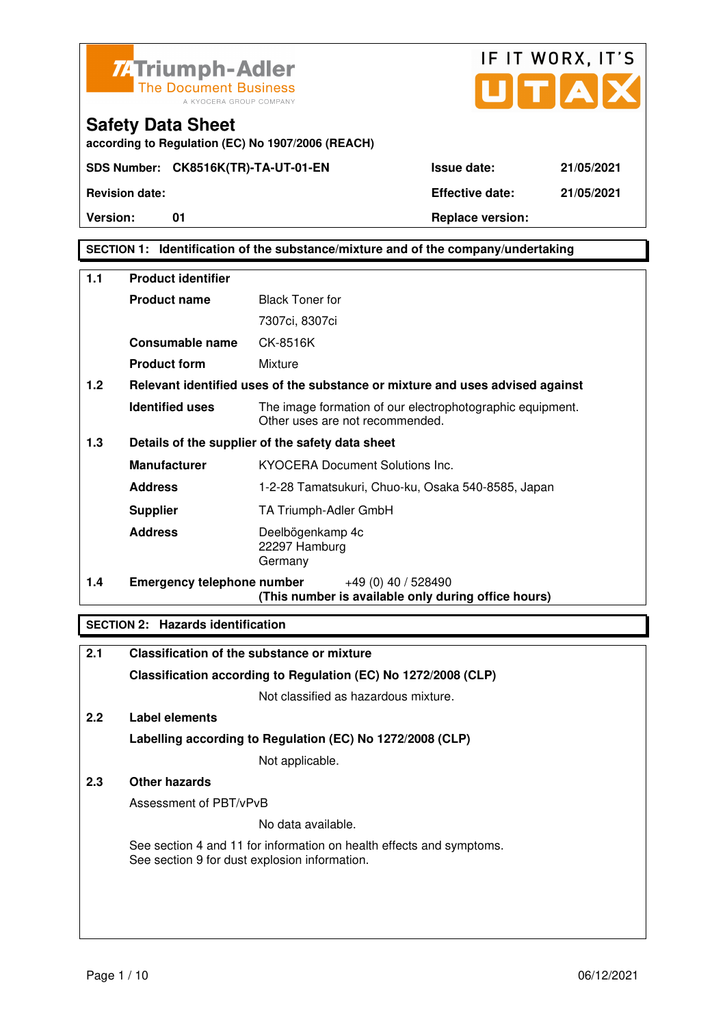



**according to Regulation (EC) No 1907/2006 (REACH)**

**Safety Data Sheet** 

## **SECTION 1: Identification of the substance/mixture and of the company/undertaking**

| $1.1$ | <b>Product identifier</b>         |                                                                                              |  |
|-------|-----------------------------------|----------------------------------------------------------------------------------------------|--|
|       | <b>Product name</b>               | <b>Black Toner for</b>                                                                       |  |
|       |                                   | 7307ci, 8307ci                                                                               |  |
|       | Consumable name                   | CK-8516K                                                                                     |  |
|       | <b>Product form</b>               | Mixture                                                                                      |  |
| 1.2   |                                   | Relevant identified uses of the substance or mixture and uses advised against                |  |
|       | <b>Identified uses</b>            | The image formation of our electrophotographic equipment.<br>Other uses are not recommended. |  |
| 1.3   |                                   | Details of the supplier of the safety data sheet                                             |  |
|       | <b>Manufacturer</b>               | <b>KYOCERA Document Solutions Inc.</b>                                                       |  |
|       | <b>Address</b>                    | 1-2-28 Tamatsukuri, Chuo-ku, Osaka 540-8585, Japan                                           |  |
|       | <b>Supplier</b>                   | TA Triumph-Adler GmbH                                                                        |  |
|       | <b>Address</b>                    | Deelbögenkamp 4c<br>22297 Hamburg<br>Germany                                                 |  |
| 1.4   | <b>Emergency telephone number</b> | $+49(0)$ 40 / 528490<br>(This number is available only during office hours)                  |  |

## **SECTION 2: Hazards identification**

| 2.1 | Classification of the substance or mixture                                                                            |  |
|-----|-----------------------------------------------------------------------------------------------------------------------|--|
|     | Classification according to Regulation (EC) No 1272/2008 (CLP)                                                        |  |
|     | Not classified as hazardous mixture.                                                                                  |  |
| 2.2 | Label elements                                                                                                        |  |
|     | Labelling according to Regulation (EC) No 1272/2008 (CLP)                                                             |  |
|     | Not applicable.                                                                                                       |  |
| 2.3 | Other hazards                                                                                                         |  |
|     | Assessment of PBT/vPvB                                                                                                |  |
|     | No data available.                                                                                                    |  |
|     | See section 4 and 11 for information on health effects and symptoms.<br>See section 9 for dust explosion information. |  |
|     |                                                                                                                       |  |
|     |                                                                                                                       |  |
|     |                                                                                                                       |  |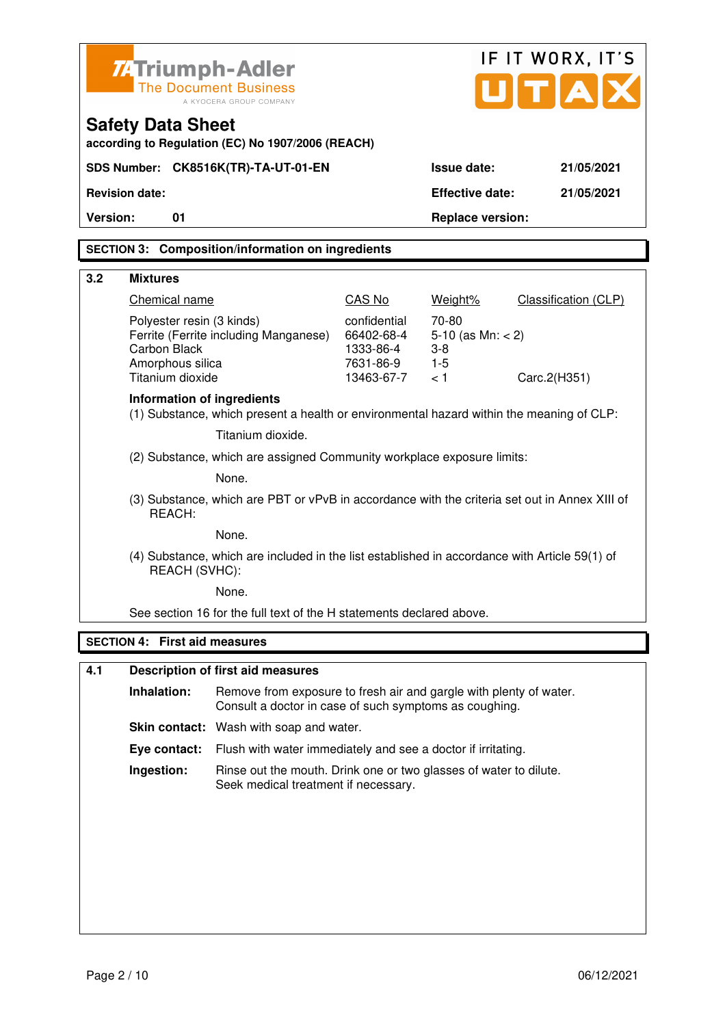|                                                                                                                                   | IF IT WORX, IT'S<br><b>74 Triumph-Adler</b><br>U[T[A])<br><b>The Document Business</b><br>A KYOCERA GROUP COMPANY<br><b>Safety Data Sheet</b><br>according to Regulation (EC) No 1907/2006 (REACH) |                                                                                                           |                                                                    |                                                        |                      |  |  |  |  |
|-----------------------------------------------------------------------------------------------------------------------------------|----------------------------------------------------------------------------------------------------------------------------------------------------------------------------------------------------|-----------------------------------------------------------------------------------------------------------|--------------------------------------------------------------------|--------------------------------------------------------|----------------------|--|--|--|--|
|                                                                                                                                   |                                                                                                                                                                                                    | SDS Number: CK8516K(TR)-TA-UT-01-EN                                                                       |                                                                    | <b>Issue date:</b>                                     | 21/05/2021           |  |  |  |  |
|                                                                                                                                   | <b>Revision date:</b>                                                                                                                                                                              |                                                                                                           |                                                                    | <b>Effective date:</b>                                 | 21/05/2021           |  |  |  |  |
| Version:                                                                                                                          | 01                                                                                                                                                                                                 |                                                                                                           |                                                                    | <b>Replace version:</b>                                |                      |  |  |  |  |
|                                                                                                                                   |                                                                                                                                                                                                    | <b>SECTION 3: Composition/information on ingredients</b>                                                  |                                                                    |                                                        |                      |  |  |  |  |
|                                                                                                                                   |                                                                                                                                                                                                    |                                                                                                           |                                                                    |                                                        |                      |  |  |  |  |
| 3.2                                                                                                                               | <b>Mixtures</b>                                                                                                                                                                                    |                                                                                                           |                                                                    |                                                        |                      |  |  |  |  |
|                                                                                                                                   | <b>Chemical name</b>                                                                                                                                                                               |                                                                                                           | CAS No                                                             | Weight%                                                | Classification (CLP) |  |  |  |  |
| Polyester resin (3 kinds)<br>Ferrite (Ferrite including Manganese)<br><b>Carbon Black</b><br>Amorphous silica<br>Titanium dioxide |                                                                                                                                                                                                    |                                                                                                           | confidential<br>66402-68-4<br>1333-86-4<br>7631-86-9<br>13463-67-7 | 70-80<br>5-10 (as $Mn: < 2$ )<br>$3-8$<br>$1-5$<br>< 1 | Carc.2(H351)         |  |  |  |  |
|                                                                                                                                   | Information of ingredients                                                                                                                                                                         | (1) Substance, which present a health or environmental hazard within the meaning of CLP:                  |                                                                    |                                                        |                      |  |  |  |  |
|                                                                                                                                   |                                                                                                                                                                                                    | Titanium dioxide.                                                                                         |                                                                    |                                                        |                      |  |  |  |  |
|                                                                                                                                   |                                                                                                                                                                                                    | (2) Substance, which are assigned Community workplace exposure limits:                                    |                                                                    |                                                        |                      |  |  |  |  |
|                                                                                                                                   |                                                                                                                                                                                                    | None.                                                                                                     |                                                                    |                                                        |                      |  |  |  |  |
|                                                                                                                                   | REACH:                                                                                                                                                                                             | (3) Substance, which are PBT or vPvB in accordance with the criteria set out in Annex XIII of             |                                                                    |                                                        |                      |  |  |  |  |
|                                                                                                                                   |                                                                                                                                                                                                    | None.                                                                                                     |                                                                    |                                                        |                      |  |  |  |  |
|                                                                                                                                   | REACH (SVHC):                                                                                                                                                                                      | (4) Substance, which are included in the list established in accordance with Article 59(1) of             |                                                                    |                                                        |                      |  |  |  |  |
|                                                                                                                                   |                                                                                                                                                                                                    | None.                                                                                                     |                                                                    |                                                        |                      |  |  |  |  |
|                                                                                                                                   |                                                                                                                                                                                                    | See section 16 for the full text of the H statements declared above.                                      |                                                                    |                                                        |                      |  |  |  |  |
|                                                                                                                                   | <b>SECTION 4: First aid measures</b>                                                                                                                                                               |                                                                                                           |                                                                    |                                                        |                      |  |  |  |  |
| 4.1                                                                                                                               |                                                                                                                                                                                                    | <b>Description of first aid measures</b>                                                                  |                                                                    |                                                        |                      |  |  |  |  |
|                                                                                                                                   | Inhalation:                                                                                                                                                                                        | Remove from exposure to fresh air and gargle with plenty of water.                                        |                                                                    |                                                        |                      |  |  |  |  |
|                                                                                                                                   |                                                                                                                                                                                                    | Consult a doctor in case of such symptoms as coughing.                                                    |                                                                    |                                                        |                      |  |  |  |  |
|                                                                                                                                   |                                                                                                                                                                                                    | <b>Skin contact:</b> Wash with soap and water.                                                            |                                                                    |                                                        |                      |  |  |  |  |
|                                                                                                                                   | Eye contact:                                                                                                                                                                                       | Flush with water immediately and see a doctor if irritating.                                              |                                                                    |                                                        |                      |  |  |  |  |
|                                                                                                                                   | Ingestion:                                                                                                                                                                                         | Rinse out the mouth. Drink one or two glasses of water to dilute.<br>Seek medical treatment if necessary. |                                                                    |                                                        |                      |  |  |  |  |
|                                                                                                                                   |                                                                                                                                                                                                    |                                                                                                           |                                                                    |                                                        |                      |  |  |  |  |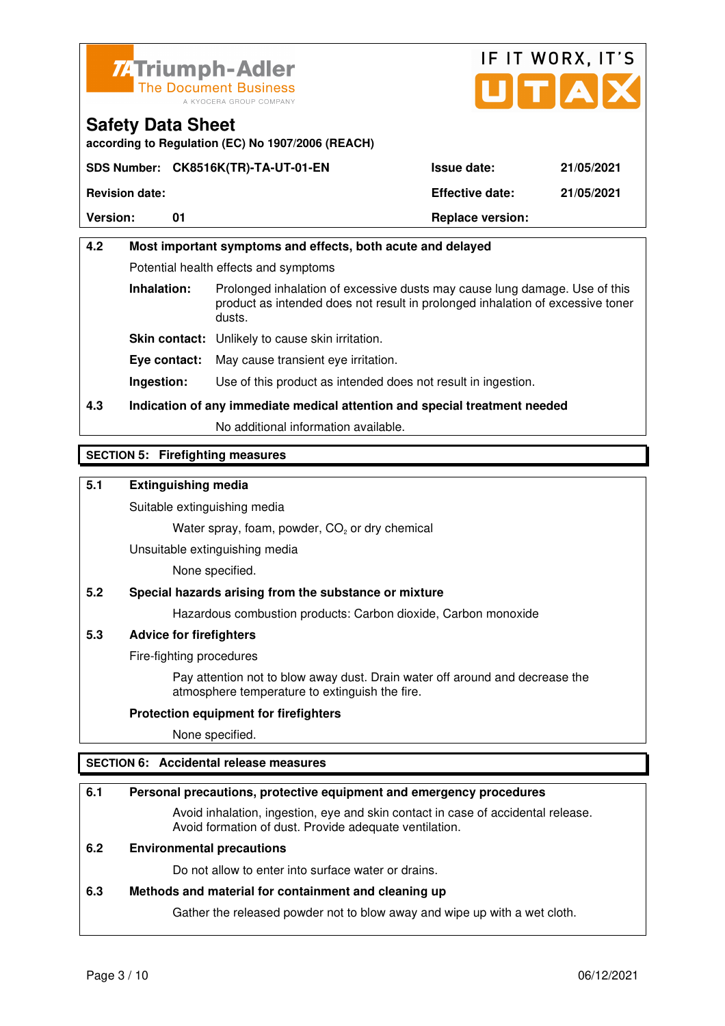



**according to Regulation (EC) No 1907/2006 (REACH)**

|                       | SDS Number: CK8516K(TR)-TA-UT-01-EN | <b>Issue date:</b>      | 21/05/2021 |
|-----------------------|-------------------------------------|-------------------------|------------|
| <b>Revision date:</b> |                                     | <b>Effective date:</b>  | 21/05/2021 |
| <b>Version:</b>       |                                     | <b>Replace version:</b> |            |

# **4.2 Most important symptoms and effects, both acute and delayed**  Potential health effects and symptoms **Inhalation:** Prolonged inhalation of excessive dusts may cause lung damage. Use of this product as intended does not result in prolonged inhalation of excessive toner dusts. **Skin contact:** Unlikely to cause skin irritation. **Eye contact:** May cause transient eye irritation.

**Ingestion:** Use of this product as intended does not result in ingestion.

# **4.3 Indication of any immediate medical attention and special treatment needed**

No additional information available.

## **SECTION 5: Firefighting measures**

## **5.1 Extinguishing media**

Suitable extinguishing media

Water spray, foam, powder,  $CO<sub>2</sub>$  or dry chemical

Unsuitable extinguishing media

None specified.

## **5.2 Special hazards arising from the substance or mixture**

Hazardous combustion products: Carbon dioxide, Carbon monoxide

## **5.3 Advice for firefighters**

Fire-fighting procedures

 Pay attention not to blow away dust. Drain water off around and decrease the atmosphere temperature to extinguish the fire.

#### **Protection equipment for firefighters**

None specified.

## **SECTION 6: Accidental release measures**

#### **6.1 Personal precautions, protective equipment and emergency procedures**

 Avoid inhalation, ingestion, eye and skin contact in case of accidental release. Avoid formation of dust. Provide adequate ventilation.

#### **6.2 Environmental precautions**

Do not allow to enter into surface water or drains.

#### **6.3 Methods and material for containment and cleaning up**

Gather the released powder not to blow away and wipe up with a wet cloth.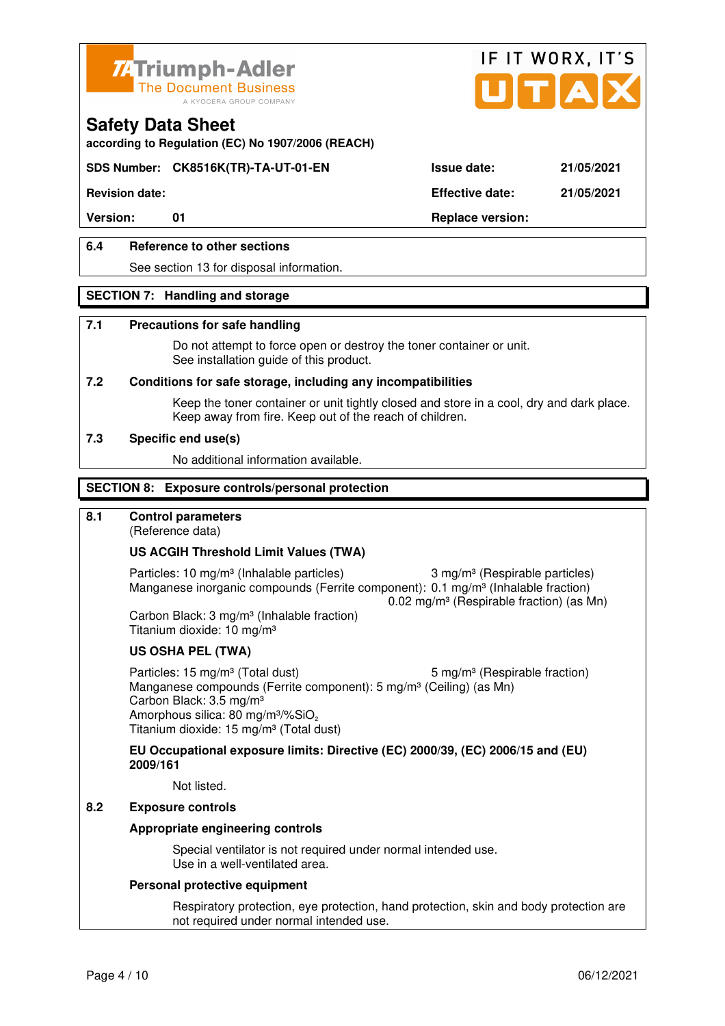



**according to Regulation (EC) No 1907/2006 (REACH)**

## **SDS Number: CK8516K(TR)-TA-UT-01-EN Issue date: 21/05/2021**

**Revision date: Effective date: 21/05/2021** 

### **6.4 Reference to other sections**

See section 13 for disposal information.

#### **SECTION 7: Handling and storage**

#### **7.1 Precautions for safe handling**

 Do not attempt to force open or destroy the toner container or unit. See installation guide of this product.

#### **7.2 Conditions for safe storage, including any incompatibilities**

Keep the toner container or unit tightly closed and store in a cool, dry and dark place. Keep away from fire. Keep out of the reach of children.

#### **7.3 Specific end use(s)**

No additional information available.

#### **SECTION 8: Exposure controls/personal protection**

#### **8.1 Control parameters**

(Reference data)

#### **US ACGIH Threshold Limit Values (TWA)**

Particles: 10 mg/m<sup>3</sup> (Inhalable particles) 3 mg/m<sup>3</sup> (Respirable particles) Manganese inorganic compounds (Ferrite component): 0.1 mg/m<sup>3</sup> (Inhalable fraction) 0.02 mg/m³ (Respirable fraction) (as Mn)

 Carbon Black: 3 mg/m³ (Inhalable fraction) Titanium dioxide: 10 mg/m³

#### **US OSHA PEL (TWA)**

Particles: 15 mg/m<sup>3</sup> (Total dust) 5 mg/m<sup>3</sup> (Respirable fraction) Manganese compounds (Ferrite component): 5 mg/m<sup>3</sup> (Ceiling) (as Mn) Carbon Black: 3.5 mg/m³ Amorphous silica: 80 mg/m<sup>3</sup>/%SiO<sub>2</sub> Titanium dioxide: 15 mg/m³ (Total dust)

**EU Occupational exposure limits: Directive (EC) 2000/39, (EC) 2006/15 and (EU) 2009/161**

Not listed.

## **8.2 Exposure controls**

#### **Appropriate engineering controls**

 Special ventilator is not required under normal intended use. Use in a well-ventilated area.

#### **Personal protective equipment**

 Respiratory protection, eye protection, hand protection, skin and body protection are not required under normal intended use.

Version: 01 01 **Replace version:**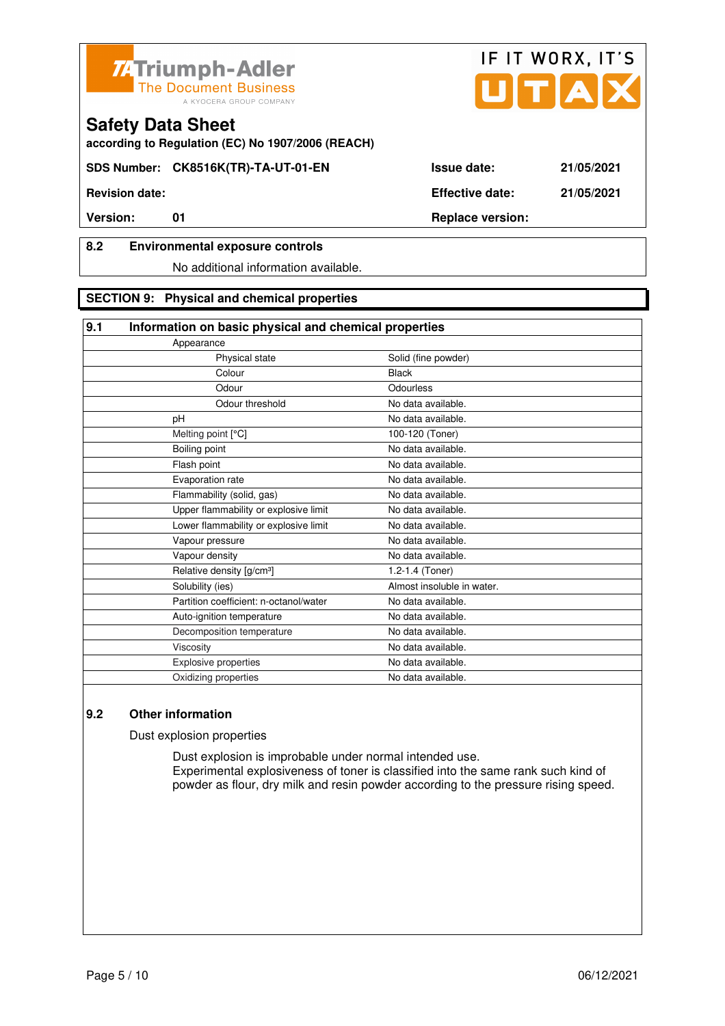



**according to Regulation (EC) No 1907/2006 (REACH)**

**SDS Number: CK8516K(TR)-TA-UT-01-EN Issue date: 21/05/2021** 

**Revision date: Effective date: 21/05/2021** 

## **8.2 Environmental exposure controls**

No additional information available.

#### **SECTION 9: Physical and chemical properties**

| 9.1 | Information on basic physical and chemical properties |                            |  |  |  |
|-----|-------------------------------------------------------|----------------------------|--|--|--|
|     | Appearance                                            |                            |  |  |  |
|     | Physical state                                        | Solid (fine powder)        |  |  |  |
|     | Colour                                                | <b>Black</b>               |  |  |  |
|     | Odour                                                 | Odourless                  |  |  |  |
|     | Odour threshold                                       | No data available.         |  |  |  |
|     | pH                                                    | No data available.         |  |  |  |
|     | Melting point [°C]                                    | 100-120 (Toner)            |  |  |  |
|     | Boiling point                                         | No data available.         |  |  |  |
|     | Flash point                                           | No data available.         |  |  |  |
|     | Evaporation rate                                      | No data available.         |  |  |  |
|     | Flammability (solid, gas)                             | No data available.         |  |  |  |
|     | Upper flammability or explosive limit                 | No data available.         |  |  |  |
|     | Lower flammability or explosive limit                 | No data available.         |  |  |  |
|     | Vapour pressure                                       | No data available.         |  |  |  |
|     | Vapour density                                        | No data available.         |  |  |  |
|     | Relative density [g/cm <sup>3</sup> ]                 | 1.2-1.4 (Toner)            |  |  |  |
|     | Solubility (ies)                                      | Almost insoluble in water. |  |  |  |
|     | Partition coefficient: n-octanol/water                | No data available.         |  |  |  |
|     | Auto-ignition temperature                             | No data available.         |  |  |  |
|     | Decomposition temperature                             | No data available.         |  |  |  |
|     | Viscosity                                             | No data available.         |  |  |  |
|     | Explosive properties                                  | No data available.         |  |  |  |
|     | Oxidizing properties                                  | No data available.         |  |  |  |
|     |                                                       |                            |  |  |  |

# **9.2 Other information**

Dust explosion properties

 Dust explosion is improbable under normal intended use. Experimental explosiveness of toner is classified into the same rank such kind of powder as flour, dry milk and resin powder according to the pressure rising speed.

IF IT WORX, IT'S

**Version:** 01 01 Replace version: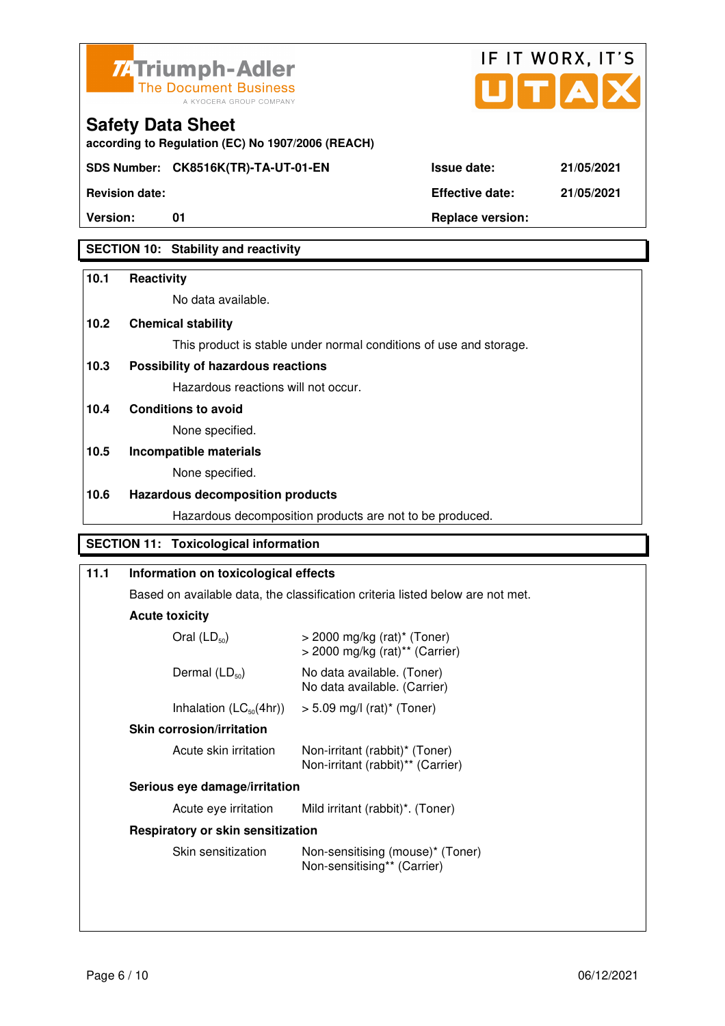



**Version:** 01 **Replace version:** 

**SECTION 10: Stability and reactivity** 

#### **10.1 Reactivity**

No data available.

**according to Regulation (EC) No 1907/2006 (REACH)**

#### **10.2 Chemical stability**

**Safety Data Sheet** 

This product is stable under normal conditions of use and storage.

### **10.3 Possibility of hazardous reactions**

Hazardous reactions will not occur.

**10.4 Conditions to avoid** 

None specified.

## **10.5 Incompatible materials**

None specified.

#### **10.6 Hazardous decomposition products**

Hazardous decomposition products are not to be produced.

### **SECTION 11: Toxicological information**

| 11.1 | Information on toxicological effects                                           |                                                                                           |  |  |  |
|------|--------------------------------------------------------------------------------|-------------------------------------------------------------------------------------------|--|--|--|
|      | Based on available data, the classification criteria listed below are not met. |                                                                                           |  |  |  |
|      | <b>Acute toxicity</b>                                                          |                                                                                           |  |  |  |
|      | Oral $(LD_{50})$                                                               | $>$ 2000 mg/kg (rat) <sup>*</sup> (Toner)<br>$>$ 2000 mg/kg (rat) <sup>**</sup> (Carrier) |  |  |  |
|      | Dermal $(LD_{50})$                                                             | No data available. (Toner)<br>No data available. (Carrier)                                |  |  |  |
|      | Inhalation $(LC_{50}(4hr))$                                                    | $> 5.09$ mg/l (rat)* (Toner)                                                              |  |  |  |
|      | <b>Skin corrosion/irritation</b>                                               |                                                                                           |  |  |  |
|      | Acute skin irritation                                                          | Non-irritant (rabbit)* (Toner)<br>Non-irritant (rabbit)** (Carrier)                       |  |  |  |
|      | Serious eye damage/irritation                                                  |                                                                                           |  |  |  |
|      | Mild irritant (rabbit)*. (Toner)<br>Acute eye irritation                       |                                                                                           |  |  |  |
|      | Respiratory or skin sensitization                                              |                                                                                           |  |  |  |
|      | Skin sensitization                                                             | Non-sensitising (mouse)* (Toner)<br>Non-sensitising** (Carrier)                           |  |  |  |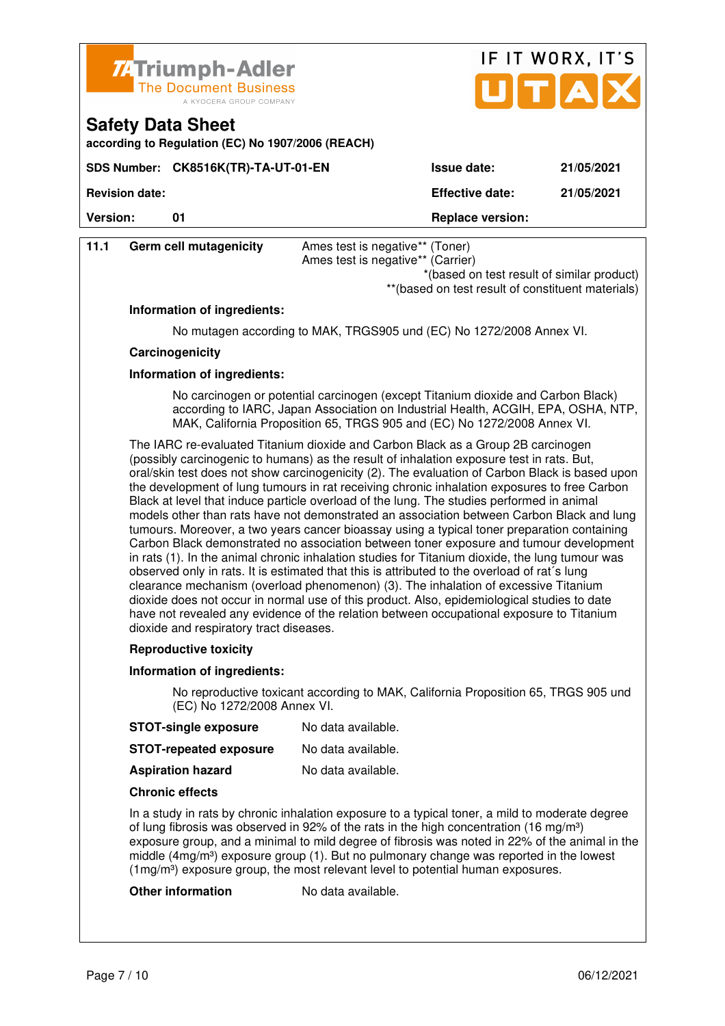

| 74 Triumph-Adler<br>The Document Business<br>A KYOCERA GROUP COMPANY          |                        | IF IT WORX, IT'S<br>UTAX |
|-------------------------------------------------------------------------------|------------------------|--------------------------|
| <b>Safety Data Sheet</b><br>according to Regulation (EC) No 1907/2006 (REACH) |                        |                          |
| SDS Number: CK8516K(TR)-TA-UT-01-EN                                           | <b>Issue date:</b>     | 21/05/2021               |
| <b>Revision date:</b>                                                         | <b>Effective date:</b> | 21/05/2021               |

**Version:** 01 **Replace version: 01 Replace version:** 

| 11.1                   |  | Ames test is negative** (Toner)                                                                 |
|------------------------|--|-------------------------------------------------------------------------------------------------|
| Germ cell mutagenicity |  | Ames test is negative** (Carrier)                                                               |
|                        |  | *(based on test result of similar product)<br>**(based on test result of constituent materials) |

#### **Information of ingredients:**

No mutagen according to MAK, TRGS905 und (EC) No 1272/2008 Annex VI.

#### **Carcinogenicity**

#### **Information of ingredients:**

 No carcinogen or potential carcinogen (except Titanium dioxide and Carbon Black) according to IARC, Japan Association on Industrial Health, ACGIH, EPA, OSHA, NTP, MAK, California Proposition 65, TRGS 905 and (EC) No 1272/2008 Annex VI.

 The IARC re-evaluated Titanium dioxide and Carbon Black as a Group 2B carcinogen (possibly carcinogenic to humans) as the result of inhalation exposure test in rats. But, oral/skin test does not show carcinogenicity (2). The evaluation of Carbon Black is based upon the development of lung tumours in rat receiving chronic inhalation exposures to free Carbon Black at level that induce particle overload of the lung. The studies performed in animal models other than rats have not demonstrated an association between Carbon Black and lung tumours. Moreover, a two years cancer bioassay using a typical toner preparation containing Carbon Black demonstrated no association between toner exposure and tumour development in rats (1). In the animal chronic inhalation studies for Titanium dioxide, the lung tumour was observed only in rats. It is estimated that this is attributed to the overload of rat´s lung clearance mechanism (overload phenomenon) (3). The inhalation of excessive Titanium dioxide does not occur in normal use of this product. Also, epidemiological studies to date have not revealed any evidence of the relation between occupational exposure to Titanium dioxide and respiratory tract diseases.

#### **Reproductive toxicity**

#### **Information of ingredients:**

 No reproductive toxicant according to MAK, California Proposition 65, TRGS 905 und (EC) No 1272/2008 Annex VI.

**STOT-single exposure** No data available.

| <b>STOT-repeated exposure</b> | No data available. |
|-------------------------------|--------------------|
|-------------------------------|--------------------|

**Aspiration hazard** No data available.

#### **Chronic effects**

 In a study in rats by chronic inhalation exposure to a typical toner, a mild to moderate degree of lung fibrosis was observed in 92% of the rats in the high concentration (16 mg/m<sup>3</sup>) exposure group, and a minimal to mild degree of fibrosis was noted in 22% of the animal in the middle  $(4mg/m<sup>3</sup>)$  exposure group (1). But no pulmonary change was reported in the lowest (1mg/m<sup>3</sup>) exposure group, the most relevant level to potential human exposures.

#### **Other information** No data available.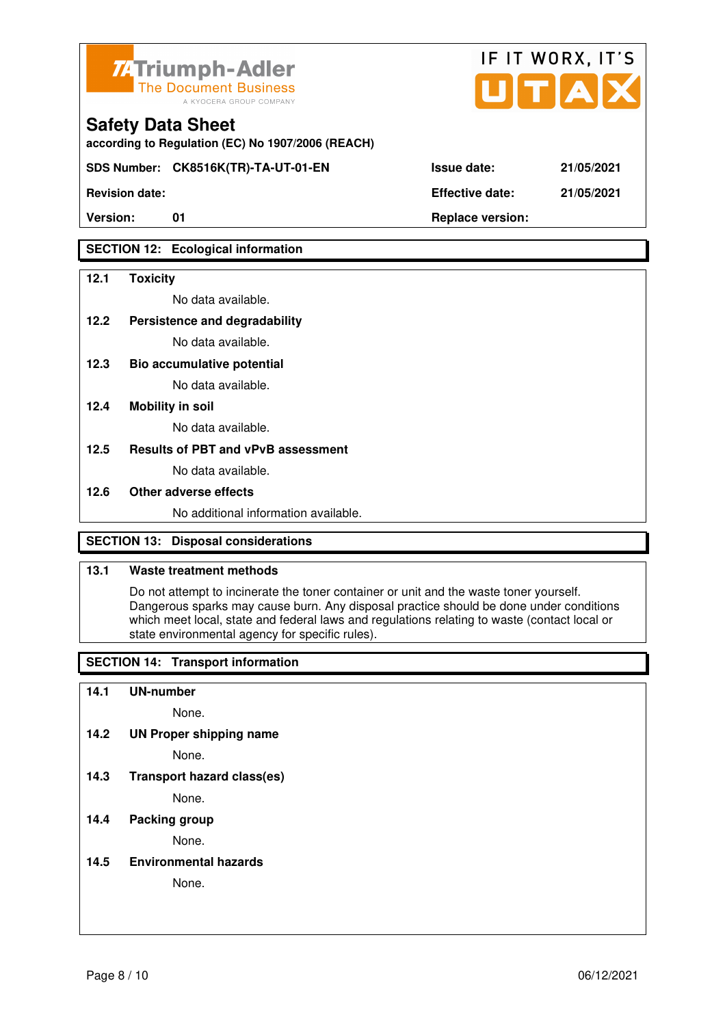

**according to Regulation (EC) No 1907/2006 (REACH)**

**SDS Number: CK8516K(TR)-TA-UT-01-EN Issue date: 21/05/2021** 

**Revision date: Effective date: 21/05/2021** 

## **SECTION 12: Ecological information**

#### **12.1 Toxicity**

No data available.

**12.2 Persistence and degradability** 

No data available.

**12.3 Bio accumulative potential** 

No data available.

#### **12.4 Mobility in soil**

No data available.

#### **12.5 Results of PBT and vPvB assessment**

No data available.

#### **12.6 Other adverse effects**

No additional information available.

## **SECTION 13: Disposal considerations**

#### **13.1 Waste treatment methods**

 Do not attempt to incinerate the toner container or unit and the waste toner yourself. Dangerous sparks may cause burn. Any disposal practice should be done under conditions which meet local, state and federal laws and regulations relating to waste (contact local or state environmental agency for specific rules).

## **SECTION 14: Transport information**

#### **14.1 UN-number**

None.

**14.2 UN Proper shipping name** 

None.

**14.3 Transport hazard class(es)** 

None.

## **14.4 Packing group**

None.

**14.5 Environmental hazards** 

None.

| ue date: |  |  |  | 21/05/20 |  |
|----------|--|--|--|----------|--|
|          |  |  |  |          |  |

IF IT WORX, IT'S

Version: 01 01 **Replace version: Properties**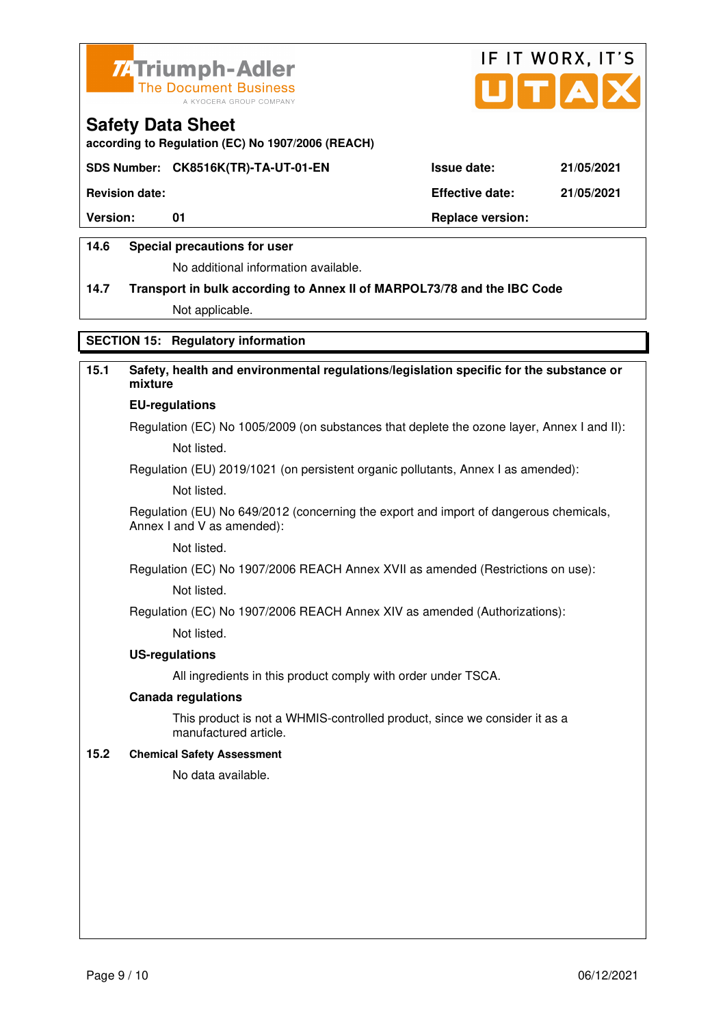



**according to Regulation (EC) No 1907/2006 (REACH)**

#### **SDS Number: CK8516K(TR)-TA-UT-01-EN Issue date: 21/05/2021**

**Revision date: Effective date: 21/05/2021** 

Version: 01 01 **Replace version: Replace version:** 

#### **14.6 Special precautions for user**

No additional information available.

# **14.7 Transport in bulk according to Annex II of MARPOL73/78 and the IBC Code**

Not applicable.

### **SECTION 15: Regulatory information**

# **15.1 Safety, health and environmental regulations/legislation specific for the substance or mixture**

# **EU-regulations**

Regulation (EC) No 1005/2009 (on substances that deplete the ozone layer, Annex I and II): Not listed.

Regulation (EU) 2019/1021 (on persistent organic pollutants, Annex I as amended):

Not listed.

 Regulation (EU) No 649/2012 (concerning the export and import of dangerous chemicals, Annex I and V as amended):

Not listed.

 Regulation (EC) No 1907/2006 REACH Annex XVII as amended (Restrictions on use): Not listed.

Regulation (EC) No 1907/2006 REACH Annex XIV as amended (Authorizations):

Not listed.

#### **US-regulations**

All ingredients in this product comply with order under TSCA.

#### **Canada regulations**

 This product is not a WHMIS-controlled product, since we consider it as a manufactured article.

#### **15.2 Chemical Safety Assessment**

No data available.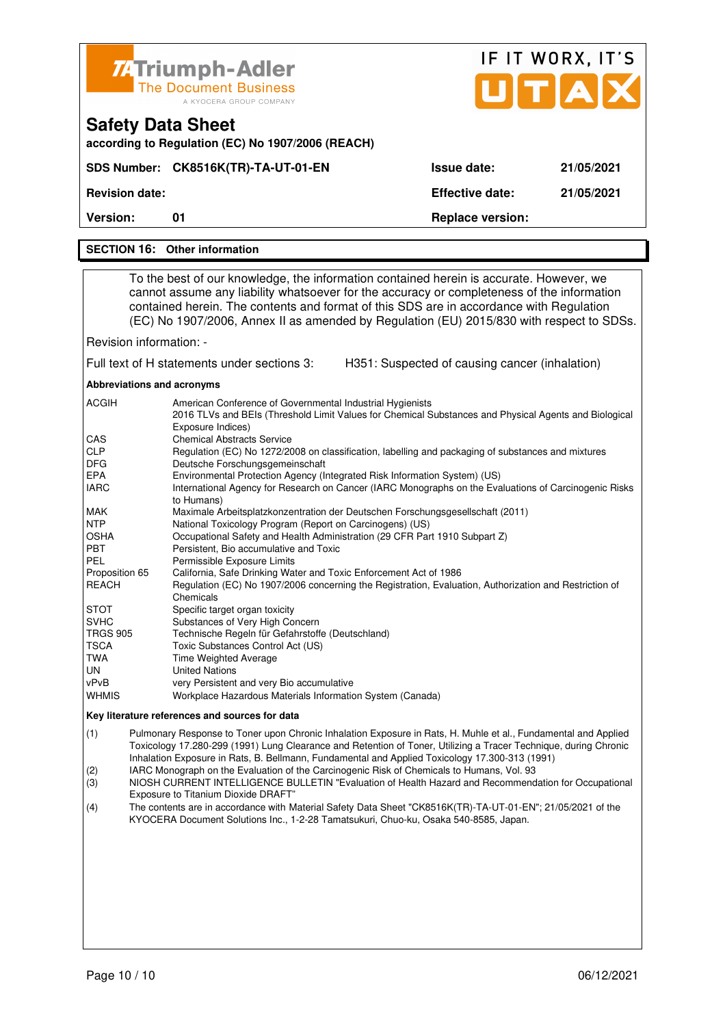|                                                                                                                                                                                                                                                  | <b>74 Triumph-Adler</b>                                                                                                                                                                                                                                                                                                                                                                                                                                                                                                                                                                                                                                                                                                                                                                                                                                                                                                                                                                                                                                                                                                                                                                                                                                                                                                                                                                              |                                                | IF IT WORX, IT'S |
|--------------------------------------------------------------------------------------------------------------------------------------------------------------------------------------------------------------------------------------------------|------------------------------------------------------------------------------------------------------------------------------------------------------------------------------------------------------------------------------------------------------------------------------------------------------------------------------------------------------------------------------------------------------------------------------------------------------------------------------------------------------------------------------------------------------------------------------------------------------------------------------------------------------------------------------------------------------------------------------------------------------------------------------------------------------------------------------------------------------------------------------------------------------------------------------------------------------------------------------------------------------------------------------------------------------------------------------------------------------------------------------------------------------------------------------------------------------------------------------------------------------------------------------------------------------------------------------------------------------------------------------------------------------|------------------------------------------------|------------------|
|                                                                                                                                                                                                                                                  | <b>The Document Business</b><br>A KYOCERA GROUP COMPANY                                                                                                                                                                                                                                                                                                                                                                                                                                                                                                                                                                                                                                                                                                                                                                                                                                                                                                                                                                                                                                                                                                                                                                                                                                                                                                                                              |                                                | UTAD             |
|                                                                                                                                                                                                                                                  | <b>Safety Data Sheet</b><br>according to Regulation (EC) No 1907/2006 (REACH)                                                                                                                                                                                                                                                                                                                                                                                                                                                                                                                                                                                                                                                                                                                                                                                                                                                                                                                                                                                                                                                                                                                                                                                                                                                                                                                        |                                                |                  |
|                                                                                                                                                                                                                                                  | SDS Number: CK8516K(TR)-TA-UT-01-EN                                                                                                                                                                                                                                                                                                                                                                                                                                                                                                                                                                                                                                                                                                                                                                                                                                                                                                                                                                                                                                                                                                                                                                                                                                                                                                                                                                  | <b>Issue date:</b>                             | 21/05/2021       |
| <b>Revision date:</b>                                                                                                                                                                                                                            |                                                                                                                                                                                                                                                                                                                                                                                                                                                                                                                                                                                                                                                                                                                                                                                                                                                                                                                                                                                                                                                                                                                                                                                                                                                                                                                                                                                                      | <b>Effective date:</b>                         | 21/05/2021       |
| Version:                                                                                                                                                                                                                                         | 01                                                                                                                                                                                                                                                                                                                                                                                                                                                                                                                                                                                                                                                                                                                                                                                                                                                                                                                                                                                                                                                                                                                                                                                                                                                                                                                                                                                                   | <b>Replace version:</b>                        |                  |
|                                                                                                                                                                                                                                                  | <b>SECTION 16: Other information</b>                                                                                                                                                                                                                                                                                                                                                                                                                                                                                                                                                                                                                                                                                                                                                                                                                                                                                                                                                                                                                                                                                                                                                                                                                                                                                                                                                                 |                                                |                  |
|                                                                                                                                                                                                                                                  |                                                                                                                                                                                                                                                                                                                                                                                                                                                                                                                                                                                                                                                                                                                                                                                                                                                                                                                                                                                                                                                                                                                                                                                                                                                                                                                                                                                                      |                                                |                  |
|                                                                                                                                                                                                                                                  | To the best of our knowledge, the information contained herein is accurate. However, we<br>cannot assume any liability whatsoever for the accuracy or completeness of the information<br>contained herein. The contents and format of this SDS are in accordance with Regulation<br>(EC) No 1907/2006, Annex II as amended by Regulation (EU) 2015/830 with respect to SDSs.                                                                                                                                                                                                                                                                                                                                                                                                                                                                                                                                                                                                                                                                                                                                                                                                                                                                                                                                                                                                                         |                                                |                  |
| Revision information: -                                                                                                                                                                                                                          |                                                                                                                                                                                                                                                                                                                                                                                                                                                                                                                                                                                                                                                                                                                                                                                                                                                                                                                                                                                                                                                                                                                                                                                                                                                                                                                                                                                                      |                                                |                  |
|                                                                                                                                                                                                                                                  | Full text of H statements under sections 3:                                                                                                                                                                                                                                                                                                                                                                                                                                                                                                                                                                                                                                                                                                                                                                                                                                                                                                                                                                                                                                                                                                                                                                                                                                                                                                                                                          | H351: Suspected of causing cancer (inhalation) |                  |
| Abbreviations and acronyms                                                                                                                                                                                                                       |                                                                                                                                                                                                                                                                                                                                                                                                                                                                                                                                                                                                                                                                                                                                                                                                                                                                                                                                                                                                                                                                                                                                                                                                                                                                                                                                                                                                      |                                                |                  |
| ACGIH<br>CAS<br><b>CLP</b><br><b>DFG</b><br>EPA<br><b>IARC</b><br>MAK<br><b>NTP</b><br>OSHA<br>PBT<br><b>PEL</b><br>Proposition 65<br>REACH<br><b>STOT</b><br><b>SVHC</b><br><b>TRGS 905</b><br><b>TSCA</b><br><b>TWA</b><br>UN<br>vPvB<br>WHMIS | American Conference of Governmental Industrial Hygienists<br>2016 TLVs and BEIs (Threshold Limit Values for Chemical Substances and Physical Agents and Biological<br>Exposure Indices)<br><b>Chemical Abstracts Service</b><br>Regulation (EC) No 1272/2008 on classification, labelling and packaging of substances and mixtures<br>Deutsche Forschungsgemeinschaft<br>Environmental Protection Agency (Integrated Risk Information System) (US)<br>International Agency for Research on Cancer (IARC Monographs on the Evaluations of Carcinogenic Risks<br>to Humans)<br>Maximale Arbeitsplatzkonzentration der Deutschen Forschungsgesellschaft (2011)<br>National Toxicology Program (Report on Carcinogens) (US)<br>Occupational Safety and Health Administration (29 CFR Part 1910 Subpart Z)<br>Persistent, Bio accumulative and Toxic<br>Permissible Exposure Limits<br>California, Safe Drinking Water and Toxic Enforcement Act of 1986<br>Regulation (EC) No 1907/2006 concerning the Registration, Evaluation, Authorization and Restriction of<br>Chemicals<br>Specific target organ toxicity<br>Substances of Very High Concern<br>Technische Regeln für Gefahrstoffe (Deutschland)<br>Toxic Substances Control Act (US)<br>Time Weighted Average<br><b>United Nations</b><br>very Persistent and very Bio accumulative<br>Workplace Hazardous Materials Information System (Canada) |                                                |                  |
|                                                                                                                                                                                                                                                  | Key literature references and sources for data                                                                                                                                                                                                                                                                                                                                                                                                                                                                                                                                                                                                                                                                                                                                                                                                                                                                                                                                                                                                                                                                                                                                                                                                                                                                                                                                                       |                                                |                  |
| (1)<br>(2)                                                                                                                                                                                                                                       | Pulmonary Response to Toner upon Chronic Inhalation Exposure in Rats, H. Muhle et al., Fundamental and Applied<br>Toxicology 17.280-299 (1991) Lung Clearance and Retention of Toner, Utilizing a Tracer Technique, during Chronic<br>Inhalation Exposure in Rats, B. Bellmann, Fundamental and Applied Toxicology 17.300-313 (1991)<br>IARC Monograph on the Evaluation of the Carcinogenic Risk of Chemicals to Humans, Vol. 93                                                                                                                                                                                                                                                                                                                                                                                                                                                                                                                                                                                                                                                                                                                                                                                                                                                                                                                                                                    |                                                |                  |

- (3) NIOSH CURRENT INTELLIGENCE BULLETIN "Evaluation of Health Hazard and Recommendation for Occupational
- Exposure to Titanium Dioxide DRAFT"<br>(4) The contents are in accordance with M (4) The contents are in accordance with Material Safety Data Sheet "CK8516K(TR)-TA-UT-01-EN"; 21/05/2021 of the KYOCERA Document Solutions Inc., 1-2-28 Tamatsukuri, Chuo-ku, Osaka 540-8585, Japan.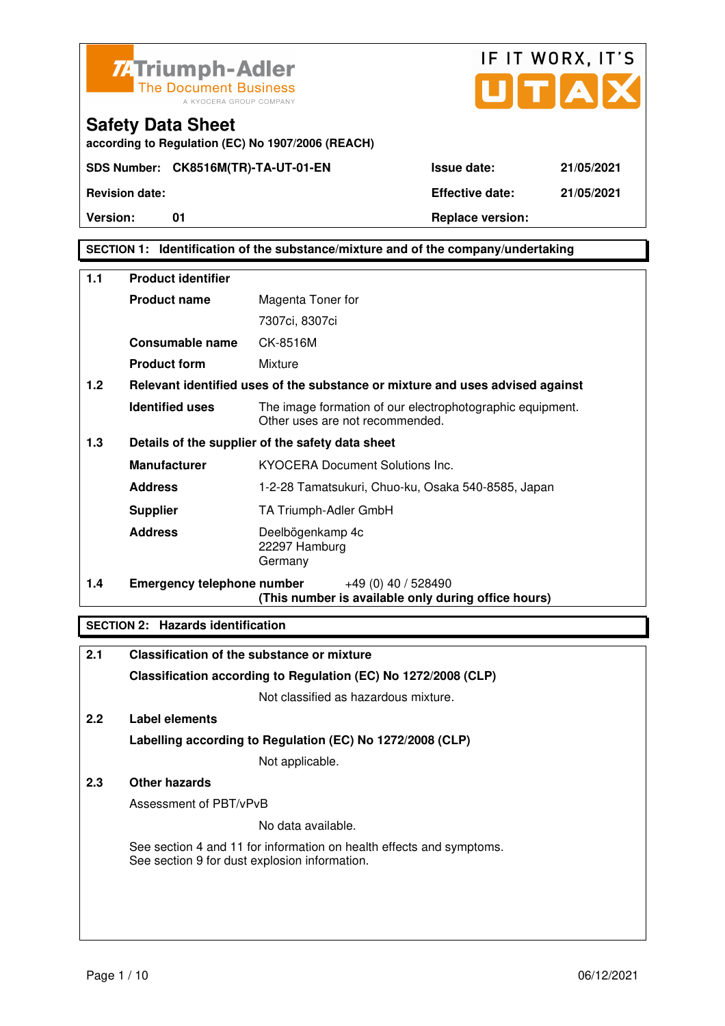



#### **SECTION 1: Identification of the substance/mixture and of the company/undertaking**

| 1.1 | <b>Product identifier</b>         |                                                                                              |
|-----|-----------------------------------|----------------------------------------------------------------------------------------------|
|     | <b>Product name</b>               | Magenta Toner for                                                                            |
|     |                                   | 7307ci, 8307ci                                                                               |
|     | <b>Consumable name</b>            | CK-8516M                                                                                     |
|     | <b>Product form</b>               | Mixture                                                                                      |
| 1.2 |                                   | Relevant identified uses of the substance or mixture and uses advised against                |
|     | <b>Identified uses</b>            | The image formation of our electrophotographic equipment.<br>Other uses are not recommended. |
| 1.3 |                                   | Details of the supplier of the safety data sheet                                             |
|     | <b>Manufacturer</b>               | <b>KYOCERA Document Solutions Inc.</b>                                                       |
|     | <b>Address</b>                    | 1-2-28 Tamatsukuri, Chuo-ku, Osaka 540-8585, Japan                                           |
|     | <b>Supplier</b>                   | TA Triumph-Adler GmbH                                                                        |
|     | <b>Address</b>                    | Deelbögenkamp 4c<br>22297 Hamburg<br>Germany                                                 |
| 1.4 | <b>Emergency telephone number</b> | $+49(0)$ 40 / 528490<br>(This number is available only during office hours)                  |

#### **SECTION 2: Hazards identification**

| 2.1 | Classification of the substance or mixture                                                                            |
|-----|-----------------------------------------------------------------------------------------------------------------------|
|     | Classification according to Regulation (EC) No 1272/2008 (CLP)                                                        |
|     | Not classified as hazardous mixture.                                                                                  |
| 2.2 | Label elements                                                                                                        |
|     | Labelling according to Regulation (EC) No 1272/2008 (CLP)                                                             |
|     | Not applicable.                                                                                                       |
| 2.3 | Other hazards                                                                                                         |
|     | Assessment of PBT/vPvB                                                                                                |
|     | No data available.                                                                                                    |
|     | See section 4 and 11 for information on health effects and symptoms.<br>See section 9 for dust explosion information. |
|     |                                                                                                                       |
|     |                                                                                                                       |
|     |                                                                                                                       |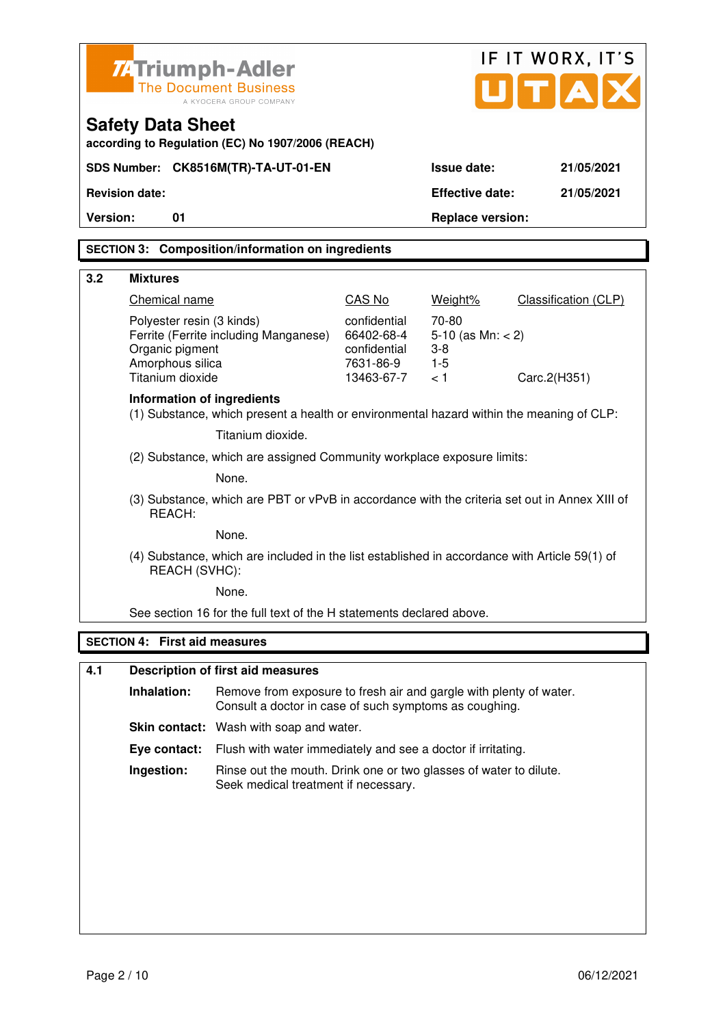|                                                                  | <b>74 Triumph-Adler</b>                                                              | <b>The Document Business</b><br>A KYOCERA GROUP COMPANY                                                                      | IF IT WORX, IT'S<br>UTA                                               |                                                          |                      |  |
|------------------------------------------------------------------|--------------------------------------------------------------------------------------|------------------------------------------------------------------------------------------------------------------------------|-----------------------------------------------------------------------|----------------------------------------------------------|----------------------|--|
|                                                                  | <b>Safety Data Sheet</b>                                                             | according to Regulation (EC) No 1907/2006 (REACH)                                                                            |                                                                       |                                                          |                      |  |
| SDS Number: CK8516M(TR)-TA-UT-01-EN<br>Issue date:<br>21/05/2021 |                                                                                      |                                                                                                                              |                                                                       |                                                          |                      |  |
|                                                                  | <b>Revision date:</b>                                                                |                                                                                                                              |                                                                       | <b>Effective date:</b>                                   | 21/05/2021           |  |
| Version:                                                         | 01                                                                                   |                                                                                                                              |                                                                       | <b>Replace version:</b>                                  |                      |  |
|                                                                  |                                                                                      | <b>SECTION 3: Composition/information on ingredients</b>                                                                     |                                                                       |                                                          |                      |  |
| 3.2                                                              | <b>Mixtures</b>                                                                      |                                                                                                                              |                                                                       |                                                          |                      |  |
|                                                                  | Chemical name                                                                        |                                                                                                                              | CAS No                                                                | Weight%                                                  | Classification (CLP) |  |
|                                                                  | Polyester resin (3 kinds)<br>Organic pigment<br>Amorphous silica<br>Titanium dioxide | Ferrite (Ferrite including Manganese)                                                                                        | confidential<br>66402-68-4<br>confidential<br>7631-86-9<br>13463-67-7 | 70-80<br>5-10 (as $Mn: < 2$ )<br>$3-8$<br>$1 - 5$<br>< 1 | Carc.2(H351)         |  |
|                                                                  | <b>Information of ingredients</b>                                                    | (1) Substance, which present a health or environmental hazard within the meaning of CLP:                                     |                                                                       |                                                          |                      |  |
|                                                                  |                                                                                      | Titanium dioxide.                                                                                                            |                                                                       |                                                          |                      |  |
|                                                                  |                                                                                      | (2) Substance, which are assigned Community workplace exposure limits:                                                       |                                                                       |                                                          |                      |  |
|                                                                  |                                                                                      | None.                                                                                                                        |                                                                       |                                                          |                      |  |
|                                                                  | REACH:                                                                               | (3) Substance, which are PBT or vPvB in accordance with the criteria set out in Annex XIII of                                |                                                                       |                                                          |                      |  |
|                                                                  |                                                                                      | None.                                                                                                                        |                                                                       |                                                          |                      |  |
|                                                                  | REACH (SVHC):                                                                        | (4) Substance, which are included in the list established in accordance with Article 59(1) of                                |                                                                       |                                                          |                      |  |
|                                                                  |                                                                                      | None.                                                                                                                        |                                                                       |                                                          |                      |  |
|                                                                  |                                                                                      | See section 16 for the full text of the H statements declared above.                                                         |                                                                       |                                                          |                      |  |
|                                                                  | <b>SECTION 4: First aid measures</b>                                                 |                                                                                                                              |                                                                       |                                                          |                      |  |
| 4.1                                                              |                                                                                      | <b>Description of first aid measures</b>                                                                                     |                                                                       |                                                          |                      |  |
|                                                                  | Inhalation:                                                                          | Remove from exposure to fresh air and gargle with plenty of water.<br>Consult a doctor in case of such symptoms as coughing. |                                                                       |                                                          |                      |  |
|                                                                  |                                                                                      | Skin contact: Wash with soap and water.                                                                                      |                                                                       |                                                          |                      |  |
|                                                                  | Eye contact:                                                                         | Flush with water immediately and see a doctor if irritating.                                                                 |                                                                       |                                                          |                      |  |
|                                                                  | Ingestion:                                                                           | Rinse out the mouth. Drink one or two glasses of water to dilute.<br>Seek medical treatment if necessary.                    |                                                                       |                                                          |                      |  |
|                                                                  |                                                                                      |                                                                                                                              |                                                                       |                                                          |                      |  |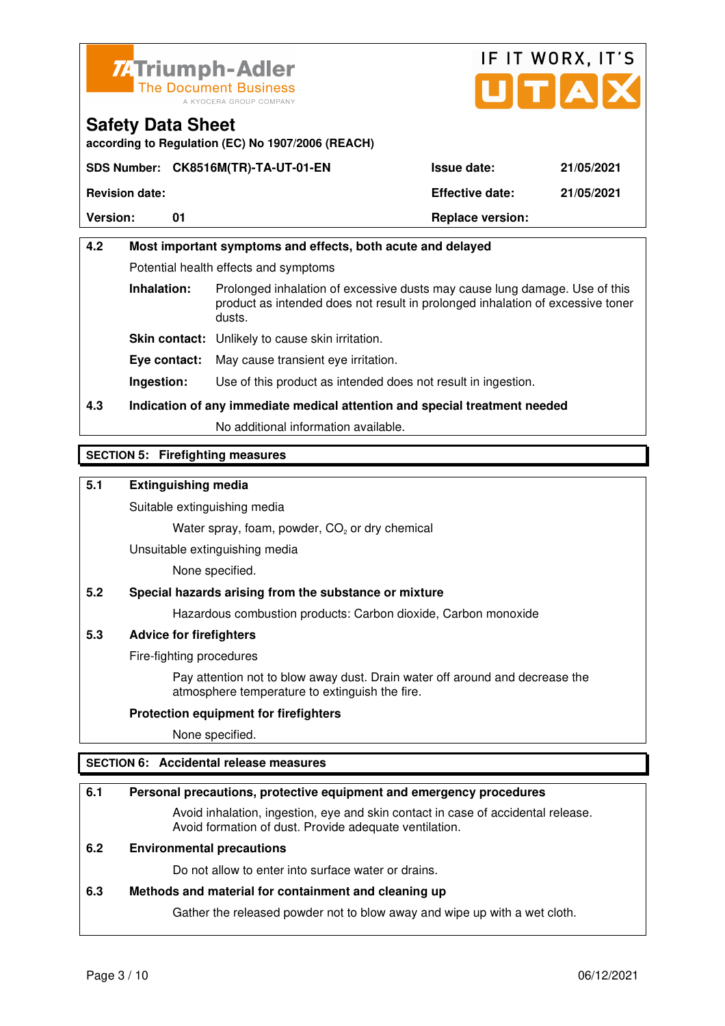



#### **Safety Data Sheet according to Regulation (EC) No 1907/2006 (REACH)**

**SDS Number: CK8516M(TR)-TA-UT-01-EN Issue date: 21/05/2021 Revision date: Effective date: 21/05/2021**  Version: 01 01 **Replace version: Replace version:** 

# **4.2 Most important symptoms and effects, both acute and delayed**  Potential health effects and symptoms **Inhalation:** Prolonged inhalation of excessive dusts may cause lung damage. Use of this product as intended does not result in prolonged inhalation of excessive toner dusts. **Skin contact:** Unlikely to cause skin irritation. **Eye contact:** May cause transient eye irritation. **Ingestion:** Use of this product as intended does not result in ingestion.

**4.3 Indication of any immediate medical attention and special treatment needed** 

No additional information available.

## **SECTION 5: Firefighting measures**

## **5.1 Extinguishing media**

Suitable extinguishing media

Water spray, foam, powder,  $CO<sub>2</sub>$  or dry chemical

Unsuitable extinguishing media

None specified.

## **5.2 Special hazards arising from the substance or mixture**

Hazardous combustion products: Carbon dioxide, Carbon monoxide

## **5.3 Advice for firefighters**

Fire-fighting procedures

 Pay attention not to blow away dust. Drain water off around and decrease the atmosphere temperature to extinguish the fire.

#### **Protection equipment for firefighters**

None specified.

## **SECTION 6: Accidental release measures**

#### **6.1 Personal precautions, protective equipment and emergency procedures**

 Avoid inhalation, ingestion, eye and skin contact in case of accidental release. Avoid formation of dust. Provide adequate ventilation.

### **6.2 Environmental precautions**

Do not allow to enter into surface water or drains.

#### **6.3 Methods and material for containment and cleaning up**

Gather the released powder not to blow away and wipe up with a wet cloth.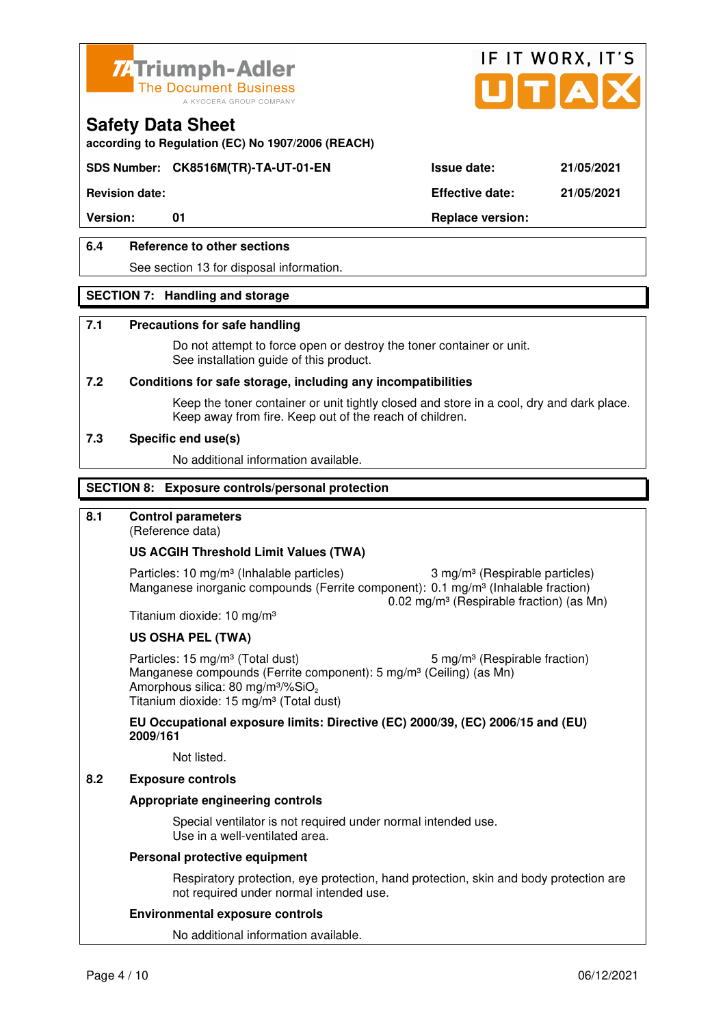



**according to Regulation (EC) No 1907/2006 (REACH)**

## **SDS Number: CK8516M(TR)-TA-UT-01-EN Issue date: 21/05/2021**

**Revision date: Effective date: 21/05/2021** 

Version: 01 01 **Replace version:** 

### **6.4 Reference to other sections**

See section 13 for disposal information.

#### **SECTION 7: Handling and storage**

#### **7.1 Precautions for safe handling**

 Do not attempt to force open or destroy the toner container or unit. See installation guide of this product.

#### **7.2 Conditions for safe storage, including any incompatibilities**

Keep the toner container or unit tightly closed and store in a cool, dry and dark place. Keep away from fire. Keep out of the reach of children.

#### **7.3 Specific end use(s)**

No additional information available.

#### **SECTION 8: Exposure controls/personal protection**

### **8.1 Control parameters**

(Reference data)

#### **US ACGIH Threshold Limit Values (TWA)**

Particles: 10 mg/m<sup>3</sup> (Inhalable particles) 3 mg/m<sup>3</sup> (Respirable particles) Manganese inorganic compounds (Ferrite component): 0.1 mg/m<sup>3</sup> (Inhalable fraction) 0.02 mg/m³ (Respirable fraction) (as Mn)

Titanium dioxide: 10 mg/m³

#### **US OSHA PEL (TWA)**

Particles: 15 mg/m<sup>3</sup> (Total dust) 5 mg/m<sup>3</sup> (Respirable fraction) Manganese compounds (Ferrite component): 5 mg/m<sup>3</sup> (Ceiling) (as Mn) Amorphous silica: 80 mg/m $3\%$ SiO<sub>2</sub> Titanium dioxide: 15 mg/m<sup>3</sup> (Total dust)

**EU Occupational exposure limits: Directive (EC) 2000/39, (EC) 2006/15 and (EU) 2009/161**

Not listed.

#### **8.2 Exposure controls**

#### **Appropriate engineering controls**

 Special ventilator is not required under normal intended use. Use in a well-ventilated area.

#### **Personal protective equipment**

 Respiratory protection, eye protection, hand protection, skin and body protection are not required under normal intended use.

#### **Environmental exposure controls**

No additional information available.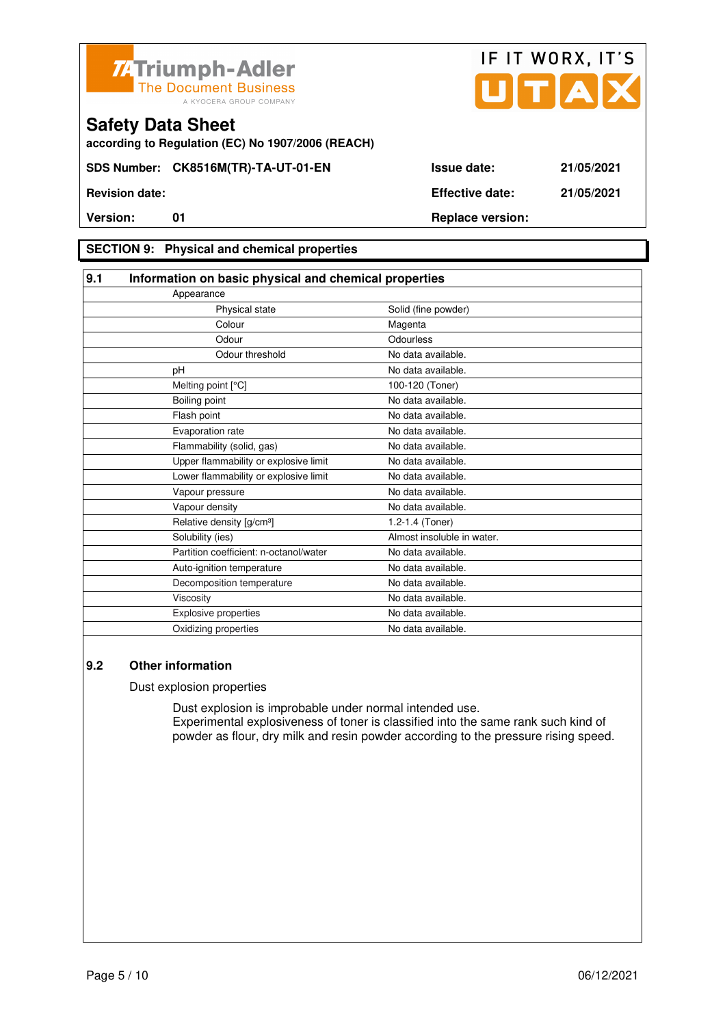



**according to Regulation (EC) No 1907/2006 (REACH)**

### **SECTION 9: Physical and chemical properties**

| 9.1 | Information on basic physical and chemical properties |                            |
|-----|-------------------------------------------------------|----------------------------|
|     | Appearance                                            |                            |
|     | Physical state                                        | Solid (fine powder)        |
|     | Colour                                                | Magenta                    |
|     | Odour                                                 | Odourless                  |
|     | Odour threshold                                       | No data available.         |
|     | рH                                                    | No data available.         |
|     | Melting point [°C]                                    | 100-120 (Toner)            |
|     | Boiling point                                         | No data available.         |
|     | Flash point                                           | No data available.         |
|     | Evaporation rate                                      | No data available.         |
|     | Flammability (solid, gas)                             | No data available.         |
|     | Upper flammability or explosive limit                 | No data available.         |
|     | Lower flammability or explosive limit                 | No data available.         |
|     | Vapour pressure                                       | No data available.         |
|     | Vapour density                                        | No data available.         |
|     | Relative density [g/cm <sup>3</sup> ]                 | 1.2-1.4 (Toner)            |
|     | Solubility (ies)                                      | Almost insoluble in water. |
|     | Partition coefficient: n-octanol/water                | No data available.         |
|     | Auto-ignition temperature                             | No data available.         |
|     | Decomposition temperature                             | No data available.         |
|     | Viscosity                                             | No data available.         |
|     | <b>Explosive properties</b>                           | No data available.         |
|     | Oxidizing properties                                  | No data available.         |

#### **9.2 Other information**

Dust explosion properties

 Dust explosion is improbable under normal intended use. Experimental explosiveness of toner is classified into the same rank such kind of powder as flour, dry milk and resin powder according to the pressure rising speed.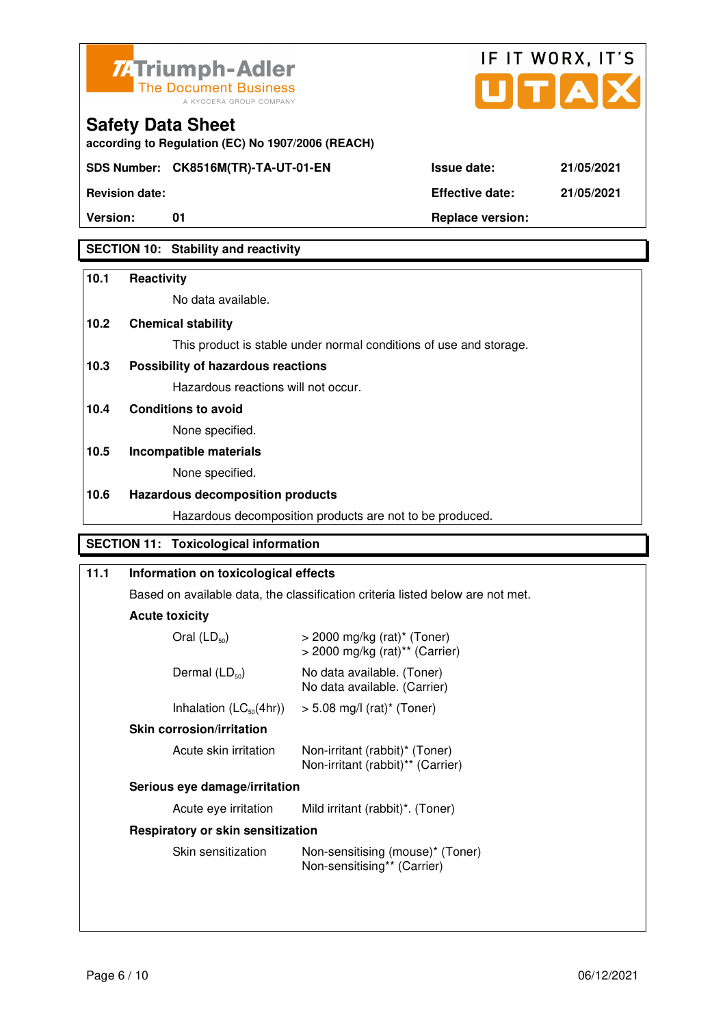



**Revision date: Effective date: 21/05/2021** 

**Safety Data Sheet** 

**Version:** 01 **Replace version:** 

**SECTION 10: Stability and reactivity** 

#### **10.1 Reactivity**

No data available.

**according to Regulation (EC) No 1907/2006 (REACH)**

## **10.2 Chemical stability**

This product is stable under normal conditions of use and storage.

## **10.3 Possibility of hazardous reactions**

Hazardous reactions will not occur.

**10.4 Conditions to avoid** 

None specified.

# **10.5 Incompatible materials**

None specified.

#### **10.6 Hazardous decomposition products**

Hazardous decomposition products are not to be produced.

## **SECTION 11: Toxicological information**

| 11.1                                                                    | Information on toxicological effects                                                                                                                                                                                       |  |
|-------------------------------------------------------------------------|----------------------------------------------------------------------------------------------------------------------------------------------------------------------------------------------------------------------------|--|
|                                                                         | Based on available data, the classification criteria listed below are not met.                                                                                                                                             |  |
|                                                                         | <b>Acute toxicity</b><br>Oral $(LD_{50})$<br>$>$ 2000 mg/kg (rat) <sup>*</sup> (Toner)<br>$>$ 2000 mg/kg (rat) <sup>**</sup> (Carrier)<br>Dermal $(LD_{50})$<br>No data available. (Toner)<br>No data available. (Carrier) |  |
|                                                                         |                                                                                                                                                                                                                            |  |
|                                                                         |                                                                                                                                                                                                                            |  |
| Inhalation $(LC_{50}(4hr))$<br>$> 5.08$ mg/l (rat) <sup>*</sup> (Toner) |                                                                                                                                                                                                                            |  |
|                                                                         | <b>Skin corrosion/irritation</b><br>Acute skin irritation<br>Non-irritant (rabbit)* (Toner)<br>Non-irritant (rabbit)** (Carrier)                                                                                           |  |
|                                                                         |                                                                                                                                                                                                                            |  |
|                                                                         | Serious eye damage/irritation                                                                                                                                                                                              |  |
|                                                                         | Mild irritant (rabbit)*. (Toner)<br>Acute eye irritation<br>Respiratory or skin sensitization<br>Skin sensitization<br>Non-sensitising (mouse)* (Toner)<br>Non-sensitising** (Carrier)                                     |  |
|                                                                         |                                                                                                                                                                                                                            |  |
|                                                                         |                                                                                                                                                                                                                            |  |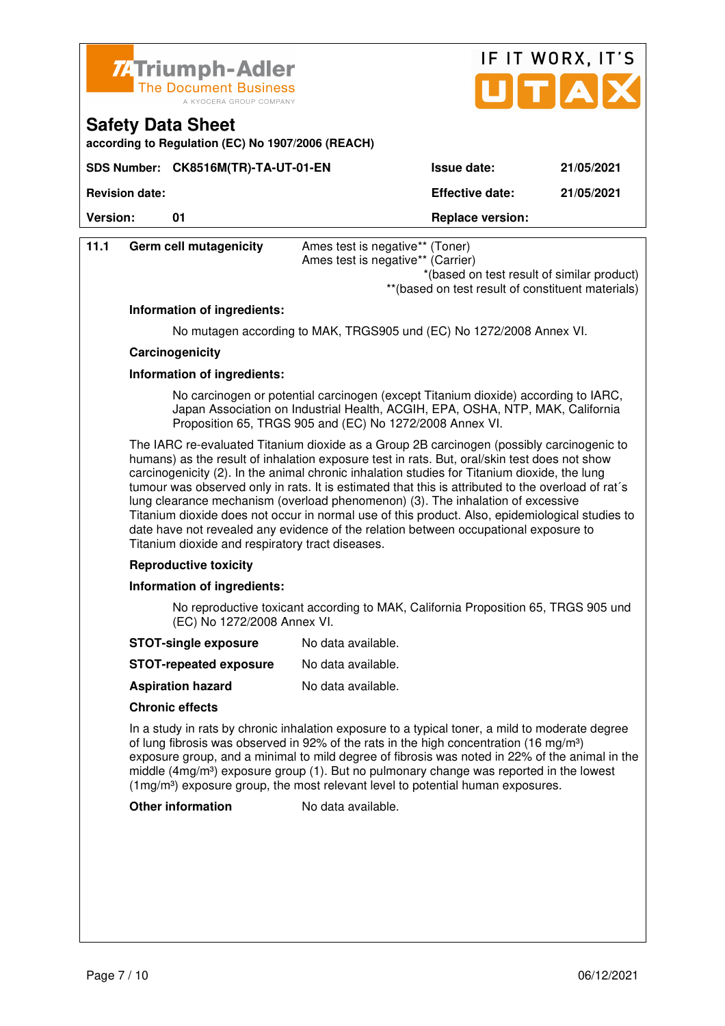

**SDS Number: CK8516M(TR)-TA-UT-01-EN** 

**according to Regulation (EC) No 1907/2006 (REACH)**

**Safety Data Sheet** 

|                    | IF IT WORX, IT'S<br>JITIAI |
|--------------------|----------------------------|
| <b>Issue date:</b> | 21/05/2021                 |

**Revision date: Effective date: 21/05/2021** 

**Version:** 01 **Depending to 201 Replace version:** 

| 11.1                                                                                                                                                                                                                             | Germ cell mutagenicity                                               | Ames test is negative** (Toner)<br>Ames test is negative** (Carrier)<br>*(based on test result of similar product)<br>** (based on test result of constituent materials)                  |  |
|----------------------------------------------------------------------------------------------------------------------------------------------------------------------------------------------------------------------------------|----------------------------------------------------------------------|-------------------------------------------------------------------------------------------------------------------------------------------------------------------------------------------|--|
|                                                                                                                                                                                                                                  | Information of ingredients:                                          |                                                                                                                                                                                           |  |
|                                                                                                                                                                                                                                  | No mutagen according to MAK, TRGS905 und (EC) No 1272/2008 Annex VI. |                                                                                                                                                                                           |  |
|                                                                                                                                                                                                                                  | Carcinogenicity                                                      |                                                                                                                                                                                           |  |
|                                                                                                                                                                                                                                  | Information of ingredients:                                          |                                                                                                                                                                                           |  |
| No carcinogen or potential carcinogen (except Titanium dioxide) according to IARC,<br>Japan Association on Industrial Health, ACGIH, EPA, OSHA, NTP, MAK, California<br>Proposition 65, TRGS 905 and (EC) No 1272/2008 Annex VI. |                                                                      |                                                                                                                                                                                           |  |
|                                                                                                                                                                                                                                  |                                                                      | The IARC re-evaluated Titanium dioxide as a Group 2B carcinogen (possibly carcinogenic to<br>humans) as the result of inhalation exposure test in rats. But, oral/skin test does not show |  |

 carcinogenicity (2). In the animal chronic inhalation studies for Titanium dioxide, the lung tumour was observed only in rats. It is estimated that this is attributed to the overload of rat´s lung clearance mechanism (overload phenomenon) (3). The inhalation of excessive Titanium dioxide does not occur in normal use of this product. Also, epidemiological studies to date have not revealed any evidence of the relation between occupational exposure to Titanium dioxide and respiratory tract diseases.

#### **Reproductive toxicity**

#### **Information of ingredients:**

 No reproductive toxicant according to MAK, California Proposition 65, TRGS 905 und (EC) No 1272/2008 Annex VI.

- **STOT-single exposure** No data available.
- **STOT-repeated exposure** No data available.
- **Aspiration hazard** No data available.

#### **Chronic effects**

 In a study in rats by chronic inhalation exposure to a typical toner, a mild to moderate degree of lung fibrosis was observed in 92% of the rats in the high concentration (16 mg/m<sup>3</sup>) exposure group, and a minimal to mild degree of fibrosis was noted in 22% of the animal in the middle  $(4mg/m<sup>3</sup>)$  exposure group (1). But no pulmonary change was reported in the lowest (1mg/m³) exposure group, the most relevant level to potential human exposures.

**Other information** No data available.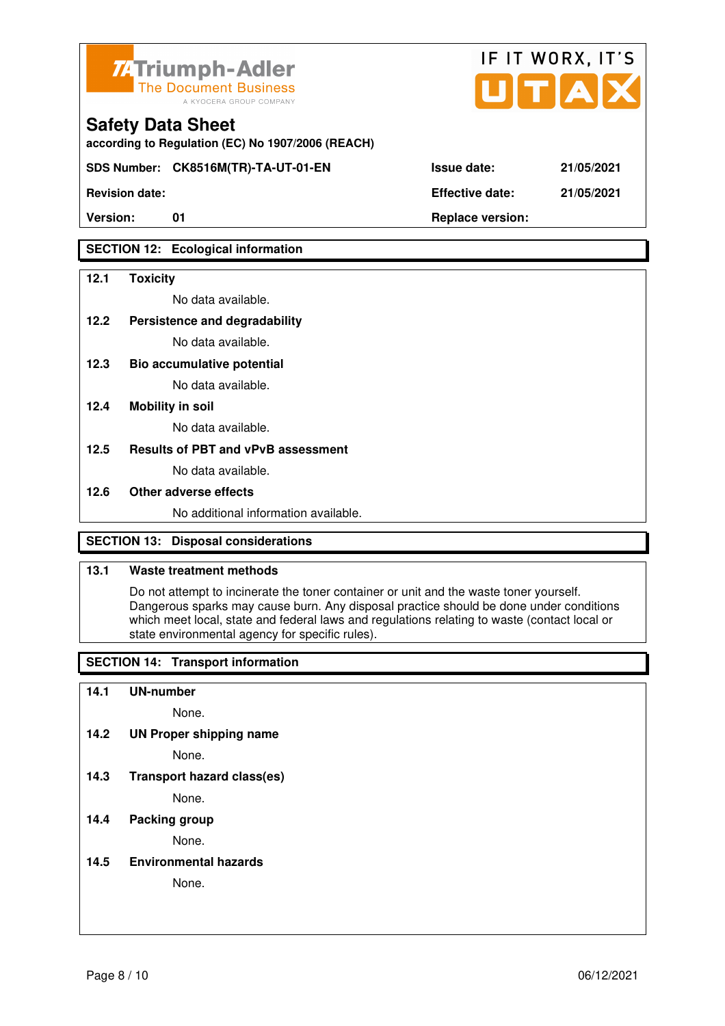

**according to Regulation (EC) No 1907/2006 (REACH)**

**SDS Number: CK8516M(TR)-TA-UT-01-EN Issue date: 21/05/2021** 

**Revision date: Effective date: 21/05/2021** 

## **SECTION 12: Ecological information**

#### **12.1 Toxicity**

No data available.

**12.2 Persistence and degradability** 

No data available.

**12.3 Bio accumulative potential** 

No data available.

#### **12.4 Mobility in soil**

No data available.

#### **12.5 Results of PBT and vPvB assessment**

No data available.

#### **12.6 Other adverse effects**

No additional information available.

## **SECTION 13: Disposal considerations**

#### **13.1 Waste treatment methods**

 Do not attempt to incinerate the toner container or unit and the waste toner yourself. Dangerous sparks may cause burn. Any disposal practice should be done under conditions which meet local, state and federal laws and regulations relating to waste (contact local or state environmental agency for specific rules).

## **SECTION 14: Transport information**

#### **14.1 UN-number**

None.

**14.2 UN Proper shipping name** 

None.

**14.3 Transport hazard class(es)** 

None.

### **14.4 Packing group**

None.

**14.5 Environmental hazards** 

None.

| <b>ue date:</b> | 21/05/20 |
|-----------------|----------|
|                 |          |

IF IT WORX, IT'S

Version: 01 01 **Replace version: Replace version:**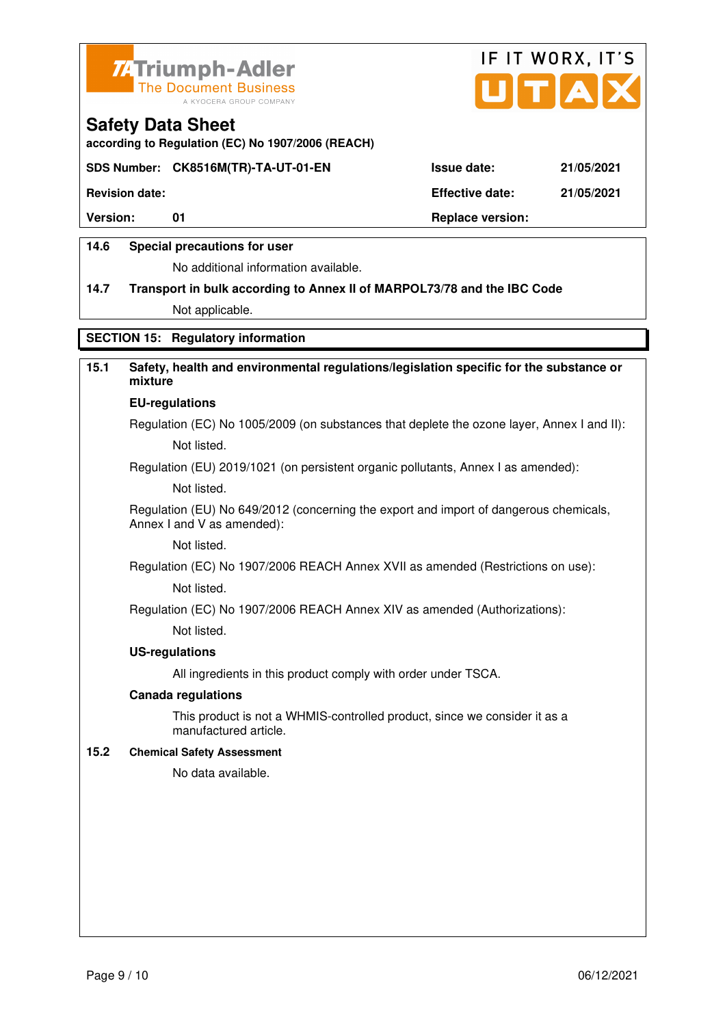



**according to Regulation (EC) No 1907/2006 (REACH)**

#### **SDS Number: CK8516M(TR)-TA-UT-01-EN Issue date: 21/05/2021**

**Revision date: Effective date: 21/05/2021** 

Version: 01 01 **Replace version: Replace version:** 

#### **14.6 Special precautions for user**

No additional information available.

# **14.7 Transport in bulk according to Annex II of MARPOL73/78 and the IBC Code**

Not applicable.

## **SECTION 15: Regulatory information**

# **15.1 Safety, health and environmental regulations/legislation specific for the substance or mixture**

#### **EU-regulations**

Regulation (EC) No 1005/2009 (on substances that deplete the ozone layer, Annex I and II): Not listed.

Regulation (EU) 2019/1021 (on persistent organic pollutants, Annex I as amended):

Not listed.

 Regulation (EU) No 649/2012 (concerning the export and import of dangerous chemicals, Annex I and V as amended):

Not listed.

 Regulation (EC) No 1907/2006 REACH Annex XVII as amended (Restrictions on use): Not listed.

Regulation (EC) No 1907/2006 REACH Annex XIV as amended (Authorizations):

Not listed.

#### **US-regulations**

All ingredients in this product comply with order under TSCA.

#### **Canada regulations**

 This product is not a WHMIS-controlled product, since we consider it as a manufactured article.

#### **15.2 Chemical Safety Assessment**

No data available.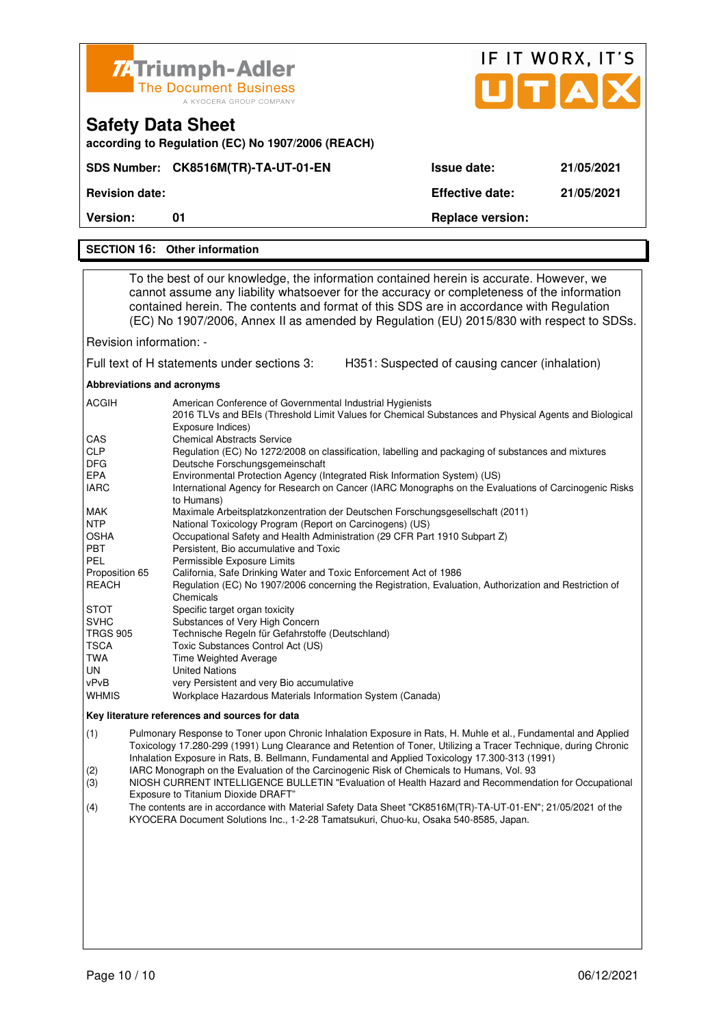|                                                                                                                                                                                                                                                                                                                                                                                                                                                                                                                                                                                                                                                                                                                                                                                                                                                                                                                                                                                                                                                                                            | <b>74 Triumph-Adler</b>                                                                                                                                                                                                                                                                                                                                                      |                                                | IF IT WORX, IT'S |
|--------------------------------------------------------------------------------------------------------------------------------------------------------------------------------------------------------------------------------------------------------------------------------------------------------------------------------------------------------------------------------------------------------------------------------------------------------------------------------------------------------------------------------------------------------------------------------------------------------------------------------------------------------------------------------------------------------------------------------------------------------------------------------------------------------------------------------------------------------------------------------------------------------------------------------------------------------------------------------------------------------------------------------------------------------------------------------------------|------------------------------------------------------------------------------------------------------------------------------------------------------------------------------------------------------------------------------------------------------------------------------------------------------------------------------------------------------------------------------|------------------------------------------------|------------------|
|                                                                                                                                                                                                                                                                                                                                                                                                                                                                                                                                                                                                                                                                                                                                                                                                                                                                                                                                                                                                                                                                                            | <b>The Document Business</b><br>A KYOCERA GROUP COMPANY                                                                                                                                                                                                                                                                                                                      |                                                | UTAD             |
|                                                                                                                                                                                                                                                                                                                                                                                                                                                                                                                                                                                                                                                                                                                                                                                                                                                                                                                                                                                                                                                                                            | <b>Safety Data Sheet</b><br>according to Regulation (EC) No 1907/2006 (REACH)                                                                                                                                                                                                                                                                                                |                                                |                  |
|                                                                                                                                                                                                                                                                                                                                                                                                                                                                                                                                                                                                                                                                                                                                                                                                                                                                                                                                                                                                                                                                                            | SDS Number: CK8516M(TR)-TA-UT-01-EN                                                                                                                                                                                                                                                                                                                                          | <b>Issue date:</b>                             | 21/05/2021       |
| <b>Revision date:</b>                                                                                                                                                                                                                                                                                                                                                                                                                                                                                                                                                                                                                                                                                                                                                                                                                                                                                                                                                                                                                                                                      |                                                                                                                                                                                                                                                                                                                                                                              | <b>Effective date:</b>                         | 21/05/2021       |
| <b>Version:</b>                                                                                                                                                                                                                                                                                                                                                                                                                                                                                                                                                                                                                                                                                                                                                                                                                                                                                                                                                                                                                                                                            | 01                                                                                                                                                                                                                                                                                                                                                                           | <b>Replace version:</b>                        |                  |
|                                                                                                                                                                                                                                                                                                                                                                                                                                                                                                                                                                                                                                                                                                                                                                                                                                                                                                                                                                                                                                                                                            | <b>SECTION 16: Other information</b>                                                                                                                                                                                                                                                                                                                                         |                                                |                  |
|                                                                                                                                                                                                                                                                                                                                                                                                                                                                                                                                                                                                                                                                                                                                                                                                                                                                                                                                                                                                                                                                                            |                                                                                                                                                                                                                                                                                                                                                                              |                                                |                  |
|                                                                                                                                                                                                                                                                                                                                                                                                                                                                                                                                                                                                                                                                                                                                                                                                                                                                                                                                                                                                                                                                                            | To the best of our knowledge, the information contained herein is accurate. However, we<br>cannot assume any liability whatsoever for the accuracy or completeness of the information<br>contained herein. The contents and format of this SDS are in accordance with Regulation<br>(EC) No 1907/2006, Annex II as amended by Regulation (EU) 2015/830 with respect to SDSs. |                                                |                  |
| Revision information: -                                                                                                                                                                                                                                                                                                                                                                                                                                                                                                                                                                                                                                                                                                                                                                                                                                                                                                                                                                                                                                                                    |                                                                                                                                                                                                                                                                                                                                                                              |                                                |                  |
|                                                                                                                                                                                                                                                                                                                                                                                                                                                                                                                                                                                                                                                                                                                                                                                                                                                                                                                                                                                                                                                                                            | Full text of H statements under sections 3:                                                                                                                                                                                                                                                                                                                                  | H351: Suspected of causing cancer (inhalation) |                  |
| Abbreviations and acronyms                                                                                                                                                                                                                                                                                                                                                                                                                                                                                                                                                                                                                                                                                                                                                                                                                                                                                                                                                                                                                                                                 |                                                                                                                                                                                                                                                                                                                                                                              |                                                |                  |
| ACGIH<br>American Conference of Governmental Industrial Hygienists<br>2016 TLVs and BEIs (Threshold Limit Values for Chemical Substances and Physical Agents and Biological<br>Exposure Indices)<br>CAS<br><b>Chemical Abstracts Service</b><br><b>CLP</b><br>Regulation (EC) No 1272/2008 on classification, labelling and packaging of substances and mixtures<br>DFG.<br>Deutsche Forschungsgemeinschaft<br><b>EPA</b><br>Environmental Protection Agency (Integrated Risk Information System) (US)<br><b>IARC</b><br>International Agency for Research on Cancer (IARC Monographs on the Evaluations of Carcinogenic Risks<br>to Humans)<br><b>MAK</b><br>Maximale Arbeitsplatzkonzentration der Deutschen Forschungsgesellschaft (2011)<br><b>NTP</b><br>National Toxicology Program (Report on Carcinogens) (US)<br>OSHA<br>Occupational Safety and Health Administration (29 CFR Part 1910 Subpart Z)<br>PBT<br>Persistent, Bio accumulative and Toxic<br>PEL<br>Permissible Exposure Limits<br>Proposition 65<br>California, Safe Drinking Water and Toxic Enforcement Act of 1986 |                                                                                                                                                                                                                                                                                                                                                                              |                                                |                  |
| <b>REACH</b><br>Regulation (EC) No 1907/2006 concerning the Registration, Evaluation, Authorization and Restriction of<br>Chemicals<br>Specific target organ toxicity<br>STOT<br><b>SVHC</b><br>Substances of Very High Concern<br><b>TRGS 905</b><br>Technische Regeln für Gefahrstoffe (Deutschland)<br>TSCA<br>Toxic Substances Control Act (US)<br>TWA<br>Time Weighted Average<br>UN<br><b>United Nations</b><br>vPvB<br>very Persistent and very Bio accumulative<br>WHMIS<br>Workplace Hazardous Materials Information System (Canada)                                                                                                                                                                                                                                                                                                                                                                                                                                                                                                                                              |                                                                                                                                                                                                                                                                                                                                                                              |                                                |                  |
| Key literature references and sources for data                                                                                                                                                                                                                                                                                                                                                                                                                                                                                                                                                                                                                                                                                                                                                                                                                                                                                                                                                                                                                                             |                                                                                                                                                                                                                                                                                                                                                                              |                                                |                  |
| Pulmonary Response to Toner upon Chronic Inhalation Exposure in Rats, H. Muhle et al., Fundamental and Applied<br>(1)<br>Toxicology 17.280-299 (1991) Lung Clearance and Retention of Toner, Utilizing a Tracer Technique, during Chronic<br>Inhalation Exposure in Rats, B. Bellmann, Fundamental and Applied Toxicology 17.300-313 (1991)                                                                                                                                                                                                                                                                                                                                                                                                                                                                                                                                                                                                                                                                                                                                                |                                                                                                                                                                                                                                                                                                                                                                              |                                                |                  |

- (2) IARC Monograph on the Evaluation of the Carcinogenic Risk of Chemicals to Humans, Vol. 93
- (3) NIOSH CURRENT INTELLIGENCE BULLETIN "Evaluation of Health Hazard and Recommendation for Occupational Exposure to Titanium Dioxide DRAFT"<br>(4) The contents are in accordance with M
- (4) The contents are in accordance with Material Safety Data Sheet "CK8516M(TR)-TA-UT-01-EN"; 21/05/2021 of the KYOCERA Document Solutions Inc., 1-2-28 Tamatsukuri, Chuo-ku, Osaka 540-8585, Japan.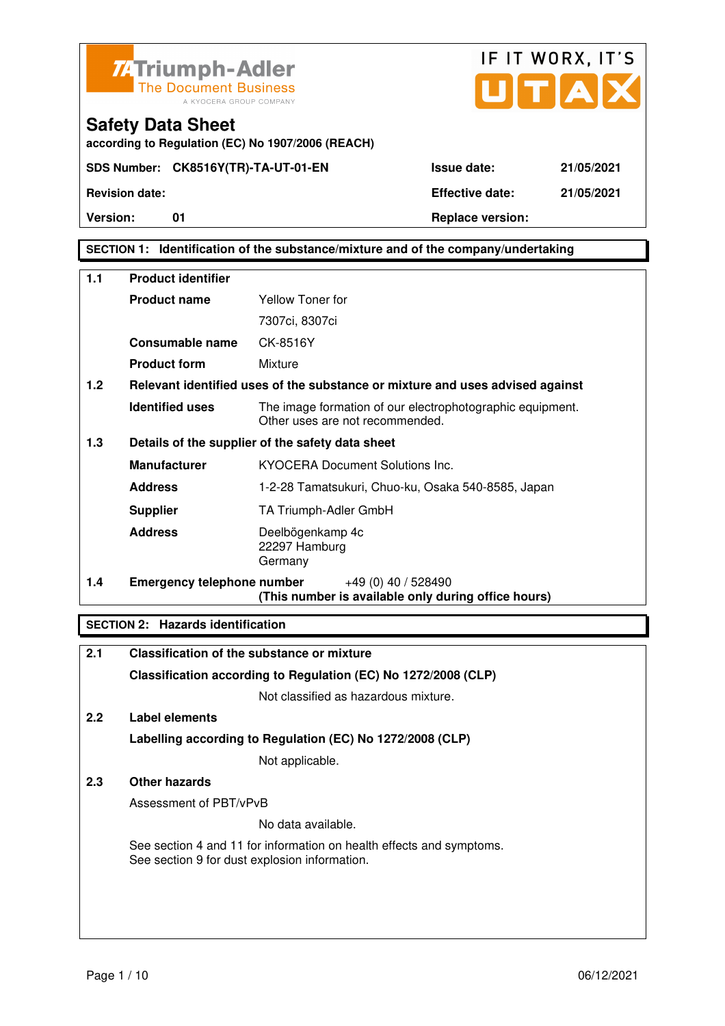



#### **SECTION 1: Identification of the substance/mixture and of the company/undertaking**

| 1.1 | <b>Product identifier</b>         |                                                                                              |  |
|-----|-----------------------------------|----------------------------------------------------------------------------------------------|--|
|     | <b>Product name</b>               | <b>Yellow Toner for</b>                                                                      |  |
|     |                                   | 7307ci, 8307ci                                                                               |  |
|     | Consumable name                   | CK-8516Y                                                                                     |  |
|     | <b>Product form</b>               | Mixture                                                                                      |  |
| 1.2 |                                   | Relevant identified uses of the substance or mixture and uses advised against                |  |
|     | <b>Identified uses</b>            | The image formation of our electrophotographic equipment.<br>Other uses are not recommended. |  |
| 1.3 |                                   | Details of the supplier of the safety data sheet                                             |  |
|     | <b>Manufacturer</b>               | <b>KYOCERA Document Solutions Inc.</b>                                                       |  |
|     | <b>Address</b>                    | 1-2-28 Tamatsukuri, Chuo-ku, Osaka 540-8585, Japan                                           |  |
|     | <b>Supplier</b>                   | TA Triumph-Adler GmbH                                                                        |  |
|     | <b>Address</b>                    | Deelbögenkamp 4c<br>22297 Hamburg<br>Germany                                                 |  |
| 1.4 | <b>Emergency telephone number</b> | $+49(0)$ 40 / 528490<br>(This number is available only during office hours)                  |  |

#### **SECTION 2: Hazards identification**

| 2.1           | Classification of the substance or mixture                                                                            |
|---------------|-----------------------------------------------------------------------------------------------------------------------|
|               | Classification according to Regulation (EC) No 1272/2008 (CLP)                                                        |
|               | Not classified as hazardous mixture.                                                                                  |
| $2.2^{\circ}$ | Label elements                                                                                                        |
|               | Labelling according to Regulation (EC) No 1272/2008 (CLP)                                                             |
|               | Not applicable.                                                                                                       |
| 2.3           | Other hazards                                                                                                         |
|               | Assessment of PBT/vPvB                                                                                                |
|               | No data available.                                                                                                    |
|               | See section 4 and 11 for information on health effects and symptoms.<br>See section 9 for dust explosion information. |
|               |                                                                                                                       |
|               |                                                                                                                       |
|               |                                                                                                                       |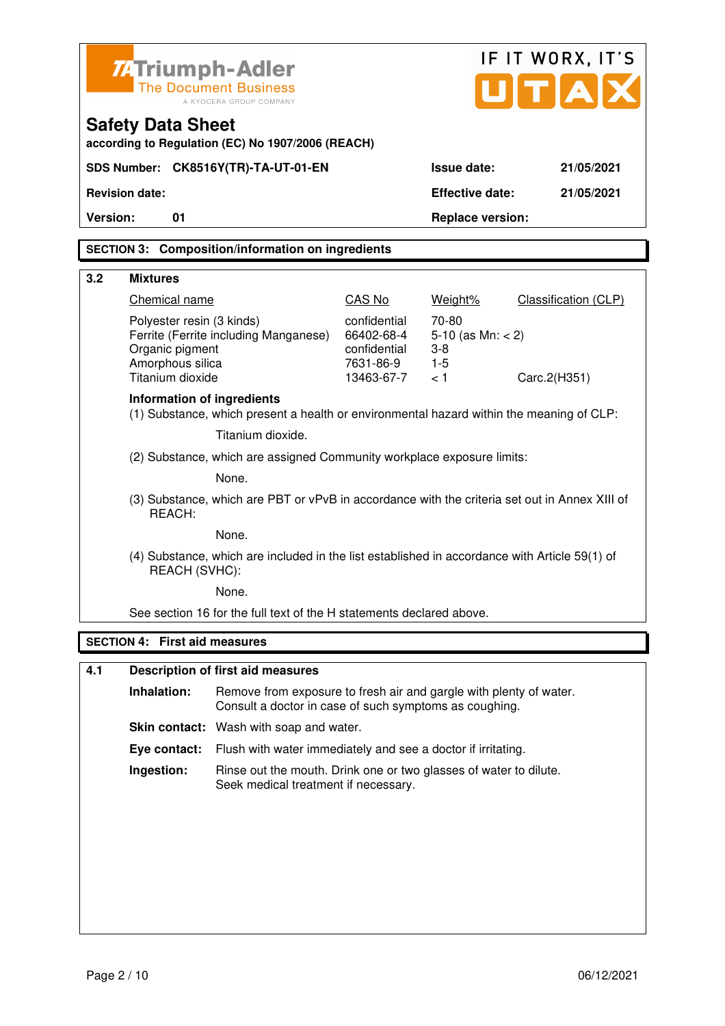| <b>74 Triumph-Adler</b>                                          |                                                                                                           |                                                         |                                                 | IF IT WORX, IT'S            |
|------------------------------------------------------------------|-----------------------------------------------------------------------------------------------------------|---------------------------------------------------------|-------------------------------------------------|-----------------------------|
|                                                                  | <b>The Document Business</b><br>A KYOCERA GROUP COMPANY                                                   |                                                         |                                                 | ITIA                        |
| <b>Safety Data Sheet</b>                                         | according to Regulation (EC) No 1907/2006 (REACH)                                                         |                                                         |                                                 |                             |
| SDS Number: CK8516Y(TR)-TA-UT-01-EN                              |                                                                                                           |                                                         | <b>Issue date:</b>                              | 21/05/2021                  |
| <b>Revision date:</b>                                            |                                                                                                           |                                                         | <b>Effective date:</b>                          | 21/05/2021                  |
| Version:<br>01                                                   |                                                                                                           |                                                         | <b>Replace version:</b>                         |                             |
|                                                                  | <b>SECTION 3: Composition/information on ingredients</b>                                                  |                                                         |                                                 |                             |
|                                                                  |                                                                                                           |                                                         |                                                 |                             |
| 3.2<br><b>Mixtures</b>                                           |                                                                                                           |                                                         |                                                 |                             |
| Chemical name                                                    |                                                                                                           | CAS No                                                  | Weight%                                         | <b>Classification (CLP)</b> |
| Polyester resin (3 kinds)<br>Organic pigment<br>Amorphous silica | Ferrite (Ferrite including Manganese)                                                                     | confidential<br>66402-68-4<br>confidential<br>7631-86-9 | 70-80<br>5-10 (as $Mn: < 2$ )<br>$3-8$<br>$1-5$ |                             |
| Titanium dioxide                                                 |                                                                                                           | 13463-67-7                                              | < 1                                             | Carc.2(H351)                |
| Information of ingredients                                       | (1) Substance, which present a health or environmental hazard within the meaning of CLP:                  |                                                         |                                                 |                             |
|                                                                  | Titanium dioxide.                                                                                         |                                                         |                                                 |                             |
|                                                                  | (2) Substance, which are assigned Community workplace exposure limits:                                    |                                                         |                                                 |                             |
|                                                                  | None.                                                                                                     |                                                         |                                                 |                             |
| REACH:                                                           | (3) Substance, which are PBT or vPvB in accordance with the criteria set out in Annex XIII of             |                                                         |                                                 |                             |
|                                                                  | None.                                                                                                     |                                                         |                                                 |                             |
| REACH (SVHC):                                                    | (4) Substance, which are included in the list established in accordance with Article 59(1) of             |                                                         |                                                 |                             |
|                                                                  | None.                                                                                                     |                                                         |                                                 |                             |
|                                                                  | See section 16 for the full text of the H statements declared above.                                      |                                                         |                                                 |                             |
| <b>SECTION 4: First aid measures</b>                             |                                                                                                           |                                                         |                                                 |                             |
| 4.1                                                              | <b>Description of first aid measures</b>                                                                  |                                                         |                                                 |                             |
| Inhalation:                                                      | Remove from exposure to fresh air and gargle with plenty of water.                                        |                                                         |                                                 |                             |
|                                                                  | Consult a doctor in case of such symptoms as coughing.                                                    |                                                         |                                                 |                             |
|                                                                  | Skin contact: Wash with soap and water.                                                                   |                                                         |                                                 |                             |
| Eye contact:                                                     | Flush with water immediately and see a doctor if irritating.                                              |                                                         |                                                 |                             |
| Ingestion:                                                       | Rinse out the mouth. Drink one or two glasses of water to dilute.<br>Seek medical treatment if necessary. |                                                         |                                                 |                             |
|                                                                  |                                                                                                           |                                                         |                                                 |                             |
|                                                                  |                                                                                                           |                                                         |                                                 |                             |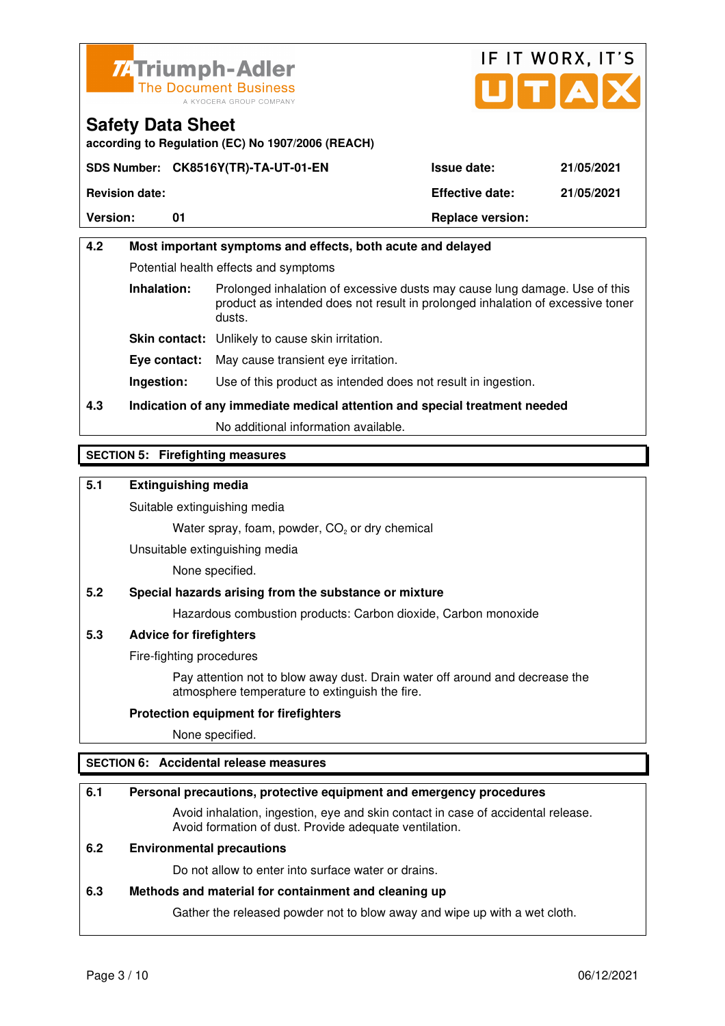



**according to Regulation (EC) No 1907/2006 (REACH)**

|                       | SDS Number: CK8516Y(TR)-TA-UT-01-EN | <b>Issue date:</b>      | 21/05/2021 |
|-----------------------|-------------------------------------|-------------------------|------------|
| <b>Revision date:</b> |                                     | <b>Effective date:</b>  | 21/05/2021 |
| <b>Version:</b>       |                                     | <b>Replace version:</b> |            |

# **4.2 Most important symptoms and effects, both acute and delayed**  Potential health effects and symptoms **Inhalation:** Prolonged inhalation of excessive dusts may cause lung damage. Use of this product as intended does not result in prolonged inhalation of excessive toner dusts. **Skin contact:** Unlikely to cause skin irritation. **Eye contact:** May cause transient eye irritation.

**Ingestion:** Use of this product as intended does not result in ingestion.

# **4.3 Indication of any immediate medical attention and special treatment needed**

No additional information available.

## **SECTION 5: Firefighting measures**

## **5.1 Extinguishing media**

Suitable extinguishing media

Water spray, foam, powder,  $CO<sub>2</sub>$  or dry chemical

Unsuitable extinguishing media

None specified.

## **5.2 Special hazards arising from the substance or mixture**

Hazardous combustion products: Carbon dioxide, Carbon monoxide

#### **5.3 Advice for firefighters**

Fire-fighting procedures

 Pay attention not to blow away dust. Drain water off around and decrease the atmosphere temperature to extinguish the fire.

#### **Protection equipment for firefighters**

None specified.

## **SECTION 6: Accidental release measures**

#### **6.1 Personal precautions, protective equipment and emergency procedures**

 Avoid inhalation, ingestion, eye and skin contact in case of accidental release. Avoid formation of dust. Provide adequate ventilation.

### **6.2 Environmental precautions**

Do not allow to enter into surface water or drains.

#### **6.3 Methods and material for containment and cleaning up**

Gather the released powder not to blow away and wipe up with a wet cloth.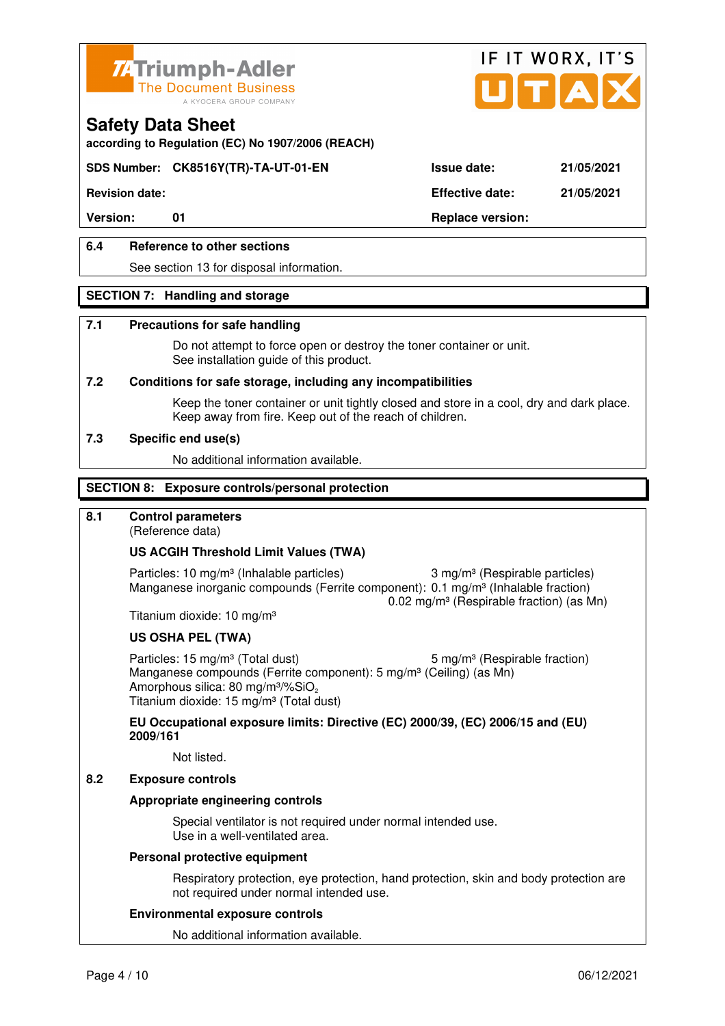



**according to Regulation (EC) No 1907/2006 (REACH)**

## **SDS Number: CK8516Y(TR)-TA-UT-01-EN Issue date: 21/05/2021**

**Revision date: Effective date: 21/05/2021** 

Version: 01 01 **Replace version:** 

## **6.4 Reference to other sections**

See section 13 for disposal information.

#### **SECTION 7: Handling and storage**

#### **7.1 Precautions for safe handling**

 Do not attempt to force open or destroy the toner container or unit. See installation guide of this product.

#### **7.2 Conditions for safe storage, including any incompatibilities**

Keep the toner container or unit tightly closed and store in a cool, dry and dark place. Keep away from fire. Keep out of the reach of children.

#### **7.3 Specific end use(s)**

No additional information available.

#### **SECTION 8: Exposure controls/personal protection**

## **8.1 Control parameters**

(Reference data)

#### **US ACGIH Threshold Limit Values (TWA)**

Particles: 10 mg/m<sup>3</sup> (Inhalable particles) 3 mg/m<sup>3</sup> (Respirable particles) Manganese inorganic compounds (Ferrite component): 0.1 mg/m<sup>3</sup> (Inhalable fraction) 0.02 mg/m³ (Respirable fraction) (as Mn)

Titanium dioxide: 10 mg/m³

#### **US OSHA PEL (TWA)**

Particles: 15 mg/m<sup>3</sup> (Total dust) 5 mg/m<sup>3</sup> (Respirable fraction) Manganese compounds (Ferrite component): 5 mg/m<sup>3</sup> (Ceiling) (as Mn) Amorphous silica: 80 mg/m $3\%$ SiO<sub>2</sub> Titanium dioxide: 15 mg/m<sup>3</sup> (Total dust)

**EU Occupational exposure limits: Directive (EC) 2000/39, (EC) 2006/15 and (EU) 2009/161**

Not listed.

#### **8.2 Exposure controls**

#### **Appropriate engineering controls**

 Special ventilator is not required under normal intended use. Use in a well-ventilated area.

#### **Personal protective equipment**

 Respiratory protection, eye protection, hand protection, skin and body protection are not required under normal intended use.

#### **Environmental exposure controls**

No additional information available.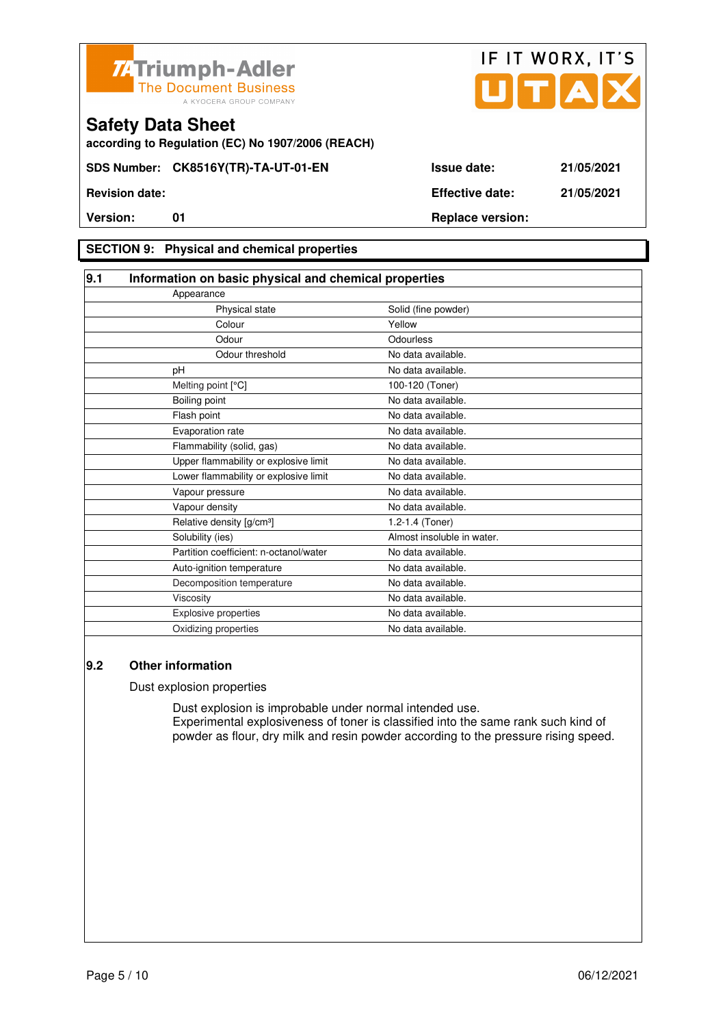



**according to Regulation (EC) No 1907/2006 (REACH)**

### **SECTION 9: Physical and chemical properties**

| 9.1 | Information on basic physical and chemical properties |                            |  |
|-----|-------------------------------------------------------|----------------------------|--|
|     | Appearance                                            |                            |  |
|     | Physical state                                        | Solid (fine powder)        |  |
|     | Colour                                                | Yellow                     |  |
|     | Odour                                                 | Odourless                  |  |
|     | Odour threshold                                       | No data available.         |  |
|     | рH                                                    | No data available.         |  |
|     | Melting point [°C]                                    | 100-120 (Toner)            |  |
|     | Boiling point                                         | No data available.         |  |
|     | Flash point                                           | No data available.         |  |
|     | Evaporation rate                                      | No data available.         |  |
|     | Flammability (solid, gas)                             | No data available.         |  |
|     | Upper flammability or explosive limit                 | No data available.         |  |
|     | Lower flammability or explosive limit                 | No data available.         |  |
|     | Vapour pressure                                       | No data available.         |  |
|     | Vapour density                                        | No data available.         |  |
|     | Relative density [g/cm <sup>3</sup> ]                 | 1.2-1.4 (Toner)            |  |
|     | Solubility (ies)                                      | Almost insoluble in water. |  |
|     | Partition coefficient: n-octanol/water                | No data available.         |  |
|     | Auto-ignition temperature                             | No data available.         |  |
|     | Decomposition temperature                             | No data available.         |  |
|     | Viscosity                                             | No data available.         |  |
|     | Explosive properties                                  | No data available.         |  |
|     | Oxidizing properties                                  | No data available.         |  |

#### **9.2 Other information**

Dust explosion properties

 Dust explosion is improbable under normal intended use. Experimental explosiveness of toner is classified into the same rank such kind of powder as flour, dry milk and resin powder according to the pressure rising speed.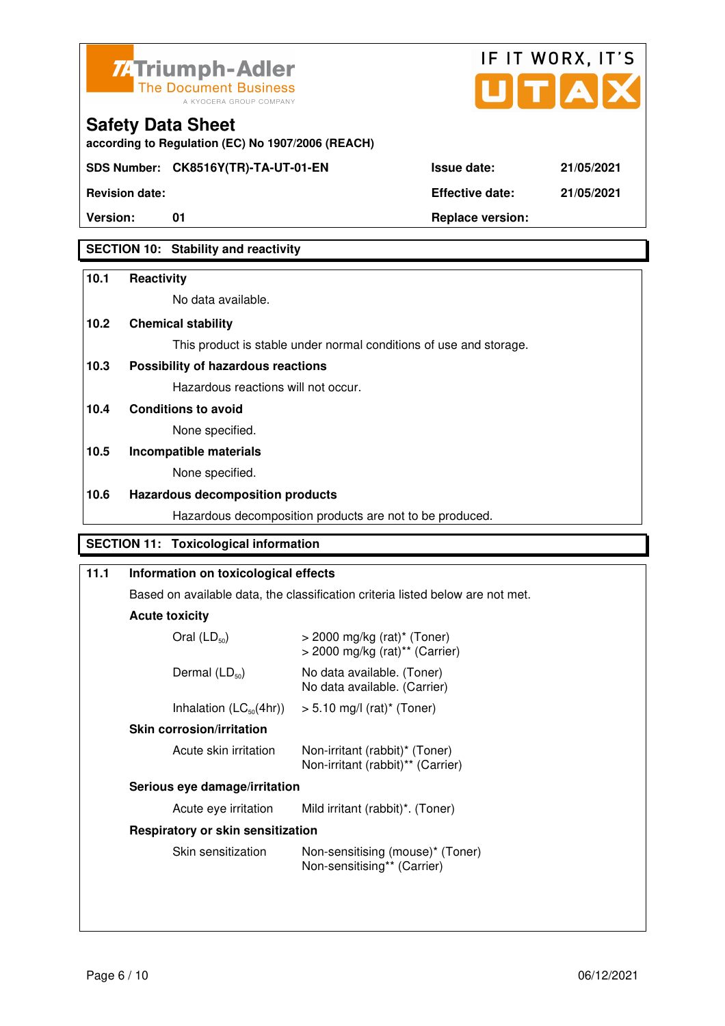



**Version:** 01 **Replace version:** 

**Revision date: Effective date: 21/05/2021** 

# **SECTION 10: Stability and reactivity**

#### **10.1 Reactivity**

No data available.

**according to Regulation (EC) No 1907/2006 (REACH)**

## **10.2 Chemical stability**

This product is stable under normal conditions of use and storage.

## **10.3 Possibility of hazardous reactions**

Hazardous reactions will not occur.

**10.4 Conditions to avoid** 

None specified.

# **10.5 Incompatible materials**

None specified.

### **10.6 Hazardous decomposition products**

Hazardous decomposition products are not to be produced.

## **SECTION 11: Toxicological information**

| 11.1                                                                    | Information on toxicological effects<br>Based on available data, the classification criteria listed below are not met.<br><b>Acute toxicity</b> |                                                                                           |
|-------------------------------------------------------------------------|-------------------------------------------------------------------------------------------------------------------------------------------------|-------------------------------------------------------------------------------------------|
|                                                                         |                                                                                                                                                 |                                                                                           |
|                                                                         |                                                                                                                                                 |                                                                                           |
|                                                                         | Oral $(LD_{50})$                                                                                                                                | $>$ 2000 mg/kg (rat) <sup>*</sup> (Toner)<br>$>$ 2000 mg/kg (rat) <sup>**</sup> (Carrier) |
|                                                                         | Dermal $(LD_{50})$<br>No data available. (Toner)<br>No data available. (Carrier)                                                                |                                                                                           |
| Inhalation $(LC_{50}(4hr))$<br>$> 5.10$ mg/l (rat) <sup>*</sup> (Toner) |                                                                                                                                                 |                                                                                           |
|                                                                         | <b>Skin corrosion/irritation</b><br>Acute skin irritation<br>Non-irritant (rabbit)* (Toner)<br>Non-irritant (rabbit)** (Carrier)                |                                                                                           |
|                                                                         |                                                                                                                                                 |                                                                                           |
|                                                                         | Serious eye damage/irritation                                                                                                                   |                                                                                           |
|                                                                         | Acute eye irritation                                                                                                                            | Mild irritant (rabbit)*. (Toner)                                                          |
|                                                                         | Respiratory or skin sensitization                                                                                                               |                                                                                           |
|                                                                         | Skin sensitization                                                                                                                              | Non-sensitising (mouse)* (Toner)<br>Non-sensitising** (Carrier)                           |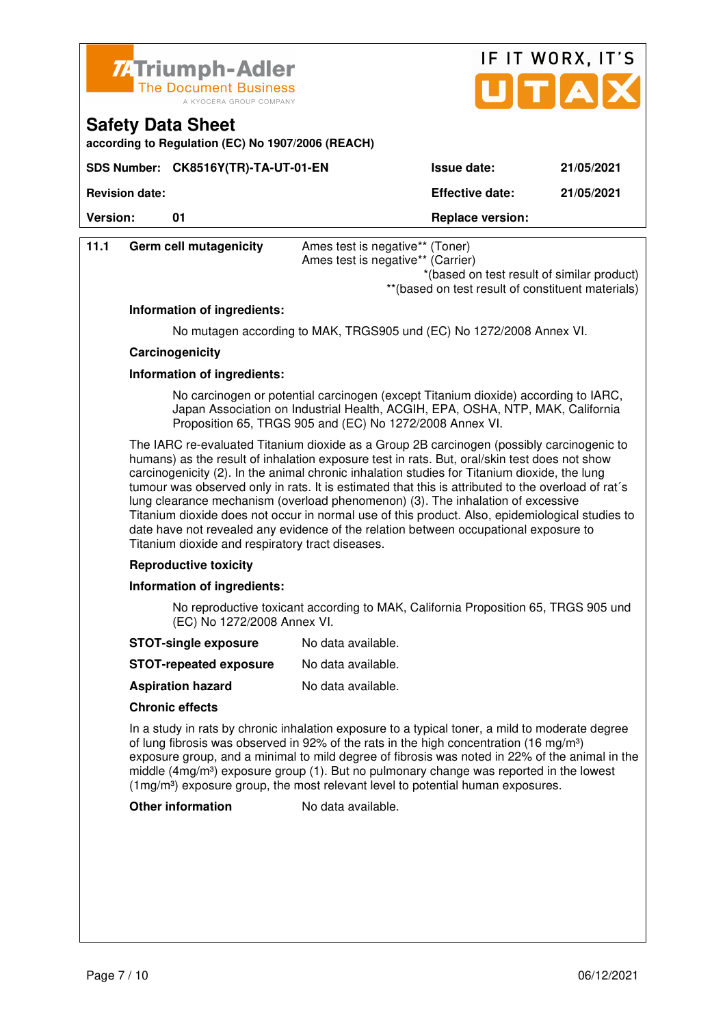

**SDS Number: CK8516Y(TR)-TA-UT-01-EN** 

**according to Regulation (EC) No 1907/2006 (REACH)**

**Safety Data Sheet** 

|                    | IF IT WORX, IT'S |  |  |  |
|--------------------|------------------|--|--|--|
|                    | JITIA            |  |  |  |
| <b>Issue date:</b> | 21/05/2021       |  |  |  |

**Revision date: Effective date: 21/05/2021** 

| <b>Version:</b><br>01 |                               | <b>Replace version:</b>                                                                                                                                                                                                                                                                                                                                                                                                                                                                                                                                                                                                                                                                                                                                                                                                                                                                                                                                               |  |  |
|-----------------------|-------------------------------|-----------------------------------------------------------------------------------------------------------------------------------------------------------------------------------------------------------------------------------------------------------------------------------------------------------------------------------------------------------------------------------------------------------------------------------------------------------------------------------------------------------------------------------------------------------------------------------------------------------------------------------------------------------------------------------------------------------------------------------------------------------------------------------------------------------------------------------------------------------------------------------------------------------------------------------------------------------------------|--|--|
| 11.1                  | <b>Germ cell mutagenicity</b> | Ames test is negative** (Toner)<br>Ames test is negative** (Carrier)<br>*(based on test result of similar product)<br>** (based on test result of constituent materials)                                                                                                                                                                                                                                                                                                                                                                                                                                                                                                                                                                                                                                                                                                                                                                                              |  |  |
|                       | Information of ingredients:   |                                                                                                                                                                                                                                                                                                                                                                                                                                                                                                                                                                                                                                                                                                                                                                                                                                                                                                                                                                       |  |  |
|                       |                               | No mutagen according to MAK, TRGS905 und (EC) No 1272/2008 Annex VI.                                                                                                                                                                                                                                                                                                                                                                                                                                                                                                                                                                                                                                                                                                                                                                                                                                                                                                  |  |  |
|                       | Carcinogenicity               |                                                                                                                                                                                                                                                                                                                                                                                                                                                                                                                                                                                                                                                                                                                                                                                                                                                                                                                                                                       |  |  |
|                       | Information of ingredients:   | No carcinogen or potential carcinogen (except Titanium dioxide) according to IARC,<br>Japan Association on Industrial Health, ACGIH, EPA, OSHA, NTP, MAK, California<br>Proposition 65, TRGS 905 and (EC) No 1272/2008 Annex VI.<br>The IARC re-evaluated Titanium dioxide as a Group 2B carcinogen (possibly carcinogenic to<br>humans) as the result of inhalation exposure test in rats. But, oral/skin test does not show<br>carcinogenicity (2). In the animal chronic inhalation studies for Titanium dioxide, the lung<br>tumour was observed only in rats. It is estimated that this is attributed to the overload of rat's<br>lung clearance mechanism (overload phenomenon) (3). The inhalation of excessive<br>Titanium dioxide does not occur in normal use of this product. Also, epidemiological studies to<br>date have not revealed any evidence of the relation between occupational exposure to<br>Titanium dioxide and respiratory tract diseases. |  |  |
|                       |                               |                                                                                                                                                                                                                                                                                                                                                                                                                                                                                                                                                                                                                                                                                                                                                                                                                                                                                                                                                                       |  |  |
|                       |                               |                                                                                                                                                                                                                                                                                                                                                                                                                                                                                                                                                                                                                                                                                                                                                                                                                                                                                                                                                                       |  |  |
|                       | <b>Reproductive toxicity</b>  |                                                                                                                                                                                                                                                                                                                                                                                                                                                                                                                                                                                                                                                                                                                                                                                                                                                                                                                                                                       |  |  |
|                       | Information of ingredients:   |                                                                                                                                                                                                                                                                                                                                                                                                                                                                                                                                                                                                                                                                                                                                                                                                                                                                                                                                                                       |  |  |
|                       | (EC) No 1272/2008 Annex VI.   | No reproductive toxicant according to MAK, California Proposition 65, TRGS 905 und                                                                                                                                                                                                                                                                                                                                                                                                                                                                                                                                                                                                                                                                                                                                                                                                                                                                                    |  |  |
|                       | <b>STOT-single exposure</b>   | No data available.                                                                                                                                                                                                                                                                                                                                                                                                                                                                                                                                                                                                                                                                                                                                                                                                                                                                                                                                                    |  |  |
|                       | <b>STOT-repeated exposure</b> | No data available.                                                                                                                                                                                                                                                                                                                                                                                                                                                                                                                                                                                                                                                                                                                                                                                                                                                                                                                                                    |  |  |
|                       | <b>Aspiration hazard</b>      | No data available.                                                                                                                                                                                                                                                                                                                                                                                                                                                                                                                                                                                                                                                                                                                                                                                                                                                                                                                                                    |  |  |
|                       | <b>Chronic effects</b>        |                                                                                                                                                                                                                                                                                                                                                                                                                                                                                                                                                                                                                                                                                                                                                                                                                                                                                                                                                                       |  |  |
|                       |                               | In a study in rats by chronic inhalation exposure to a typical toner, a mild to moderate degree<br>of lung fibrosis was observed in 92% of the rats in the high concentration (16 mg/m <sup>3</sup> )<br>exposure group, and a minimal to mild degree of fibrosis was noted in 22% of the animal in the<br>middle $(4mg/m3)$ exposure group (1). But no pulmonary change was reported in the lowest                                                                                                                                                                                                                                                                                                                                                                                                                                                                                                                                                                   |  |  |

 $(1 \text{mg/m}^3)$  exposure group, the most relevant level to potential human exposures.

**Other information** No data available.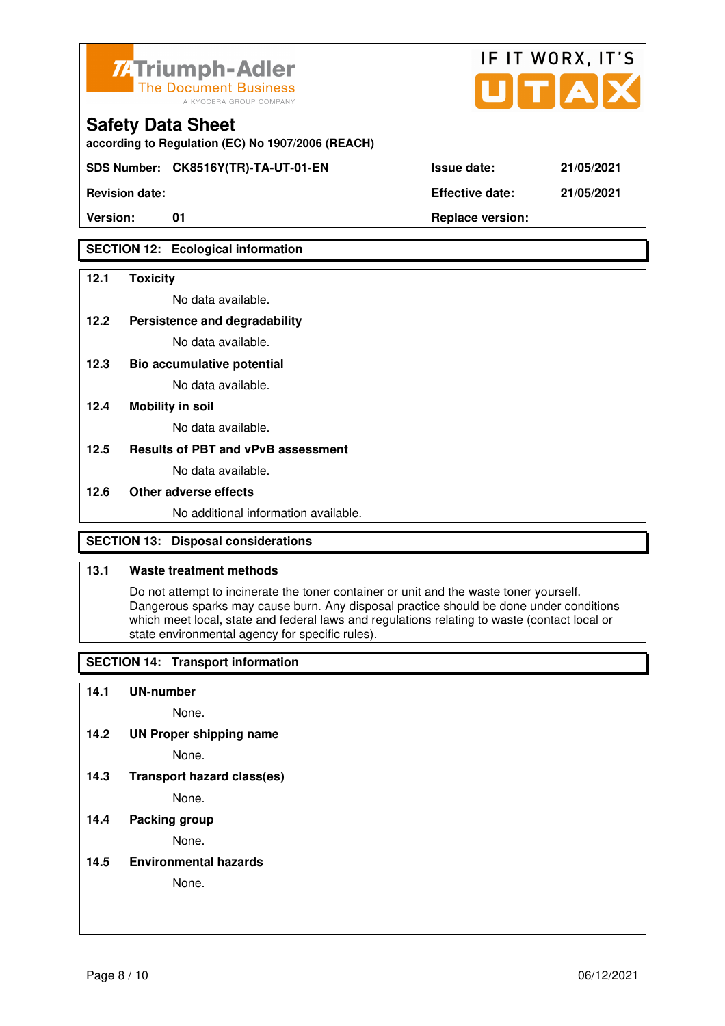

**according to Regulation (EC) No 1907/2006 (REACH)**

**SDS Number: CK8516Y(TR)-TA-UT-01-EN Issue date: 21/05/2021** 

**Revision date: Effective date: 21/05/2021** 

## **SECTION 12: Ecological information**

#### **12.1 Toxicity**

No data available.

#### **12.2 Persistence and degradability**

No data available.

**12.3 Bio accumulative potential** 

No data available.

#### **12.4 Mobility in soil**

No data available.

#### **12.5 Results of PBT and vPvB assessment**

No data available.

#### **12.6 Other adverse effects**

No additional information available.

## **SECTION 13: Disposal considerations**

## **13.1 Waste treatment methods**

 Do not attempt to incinerate the toner container or unit and the waste toner yourself. Dangerous sparks may cause burn. Any disposal practice should be done under conditions which meet local, state and federal laws and regulations relating to waste (contact local or state environmental agency for specific rules).

## **SECTION 14: Transport information**

#### **14.1 UN-number**

None.

**14.2 UN Proper shipping name** 

None.

**14.3 Transport hazard class(es)** 

None.

### **14.4 Packing group**

None.

**14.5 Environmental hazards** 

None.

| ue date: | 21/05/20 |  |
|----------|----------|--|
|          |          |  |

IF IT WORX, IT'S

Version: 01 01 **Replace version: Replace version:**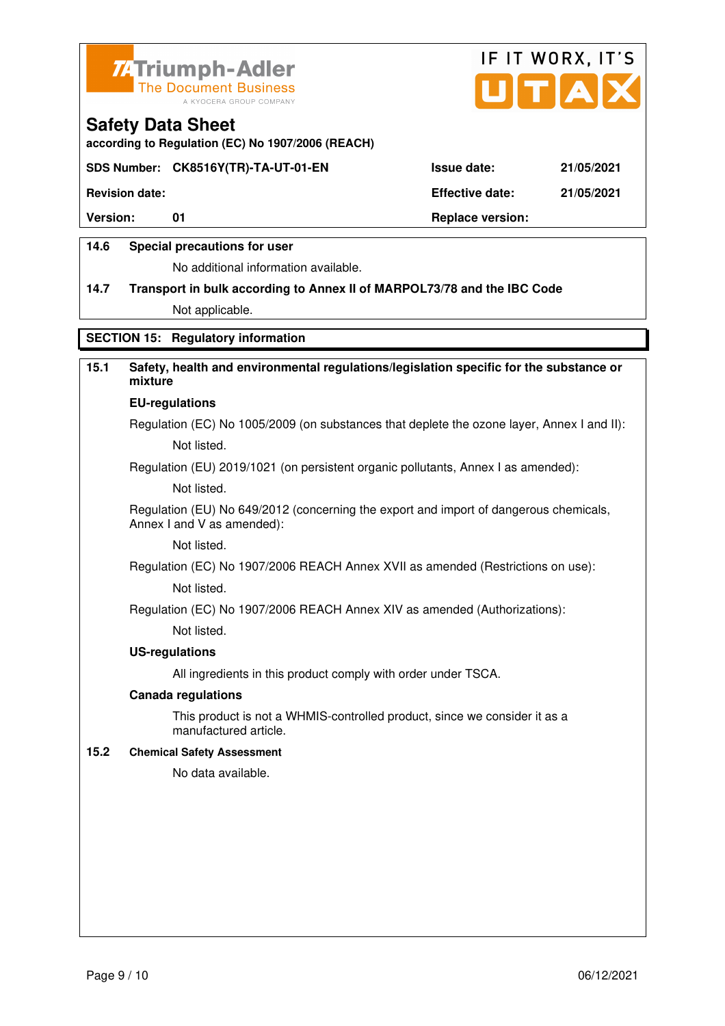



**according to Regulation (EC) No 1907/2006 (REACH)**

#### **SDS Number: CK8516Y(TR)-TA-UT-01-EN Issue date: 21/05/2021**

**Revision date: Effective date: 21/05/2021** 

Version: 01 01 **Replace version: Replace version:** 

#### **14.6 Special precautions for user**

No additional information available.

# **14.7 Transport in bulk according to Annex II of MARPOL73/78 and the IBC Code**

Not applicable.

## **SECTION 15: Regulatory information**

# **15.1 Safety, health and environmental regulations/legislation specific for the substance or mixture**

#### **EU-regulations**

Regulation (EC) No 1005/2009 (on substances that deplete the ozone layer, Annex I and II): Not listed.

Regulation (EU) 2019/1021 (on persistent organic pollutants, Annex I as amended):

Not listed.

 Regulation (EU) No 649/2012 (concerning the export and import of dangerous chemicals, Annex I and V as amended):

Not listed.

 Regulation (EC) No 1907/2006 REACH Annex XVII as amended (Restrictions on use): Not listed.

Regulation (EC) No 1907/2006 REACH Annex XIV as amended (Authorizations):

Not listed.

#### **US-regulations**

All ingredients in this product comply with order under TSCA.

#### **Canada regulations**

 This product is not a WHMIS-controlled product, since we consider it as a manufactured article.

#### **15.2 Chemical Safety Assessment**

No data available.